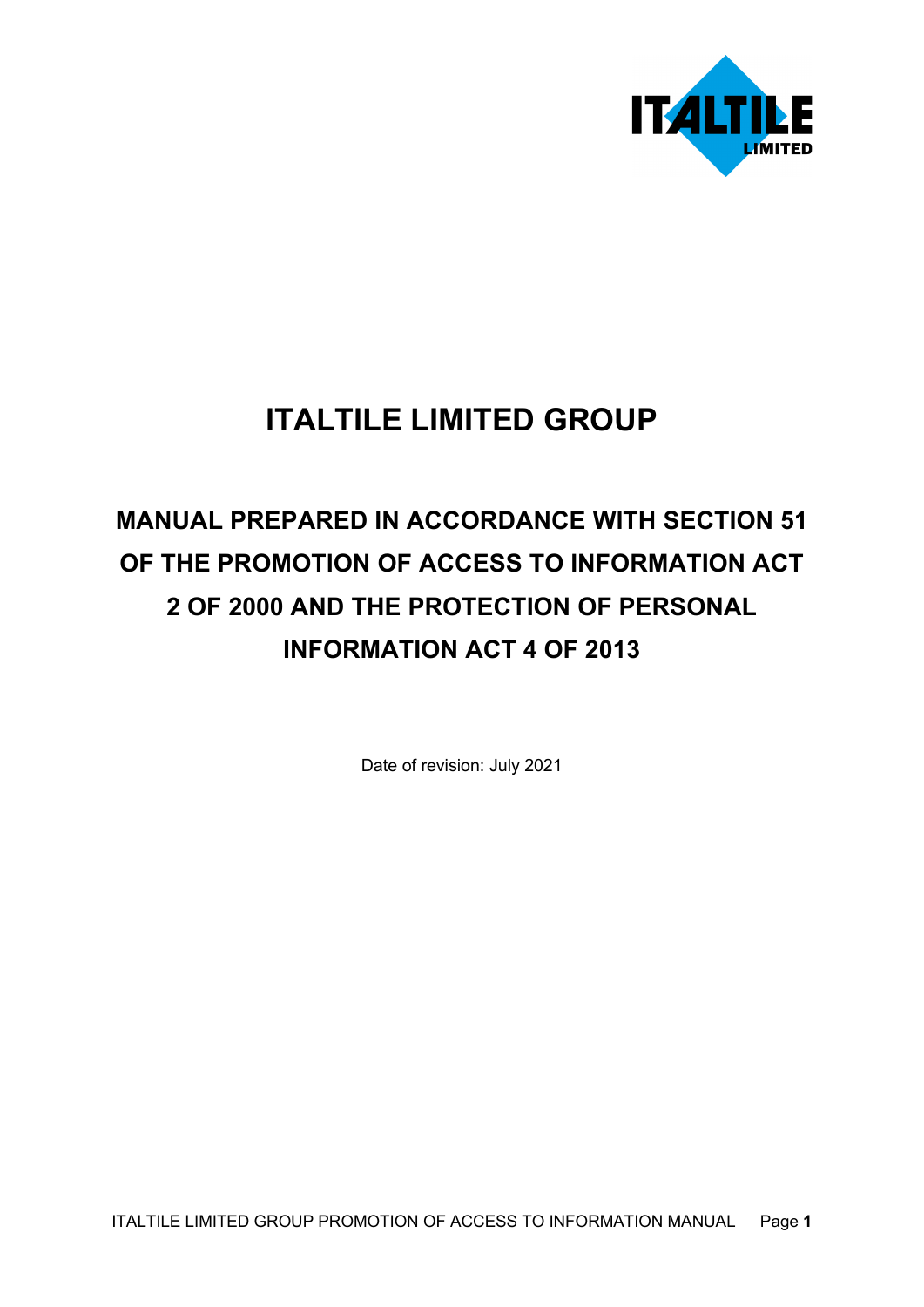

# **ITALTILE LIMITED GROUP**

# **MANUAL PREPARED IN ACCORDANCE WITH SECTION 51 OF THE PROMOTION OF ACCESS TO INFORMATION ACT 2 OF 2000 AND THE PROTECTION OF PERSONAL INFORMATION ACT 4 OF 2013**

Date of revision: July 2021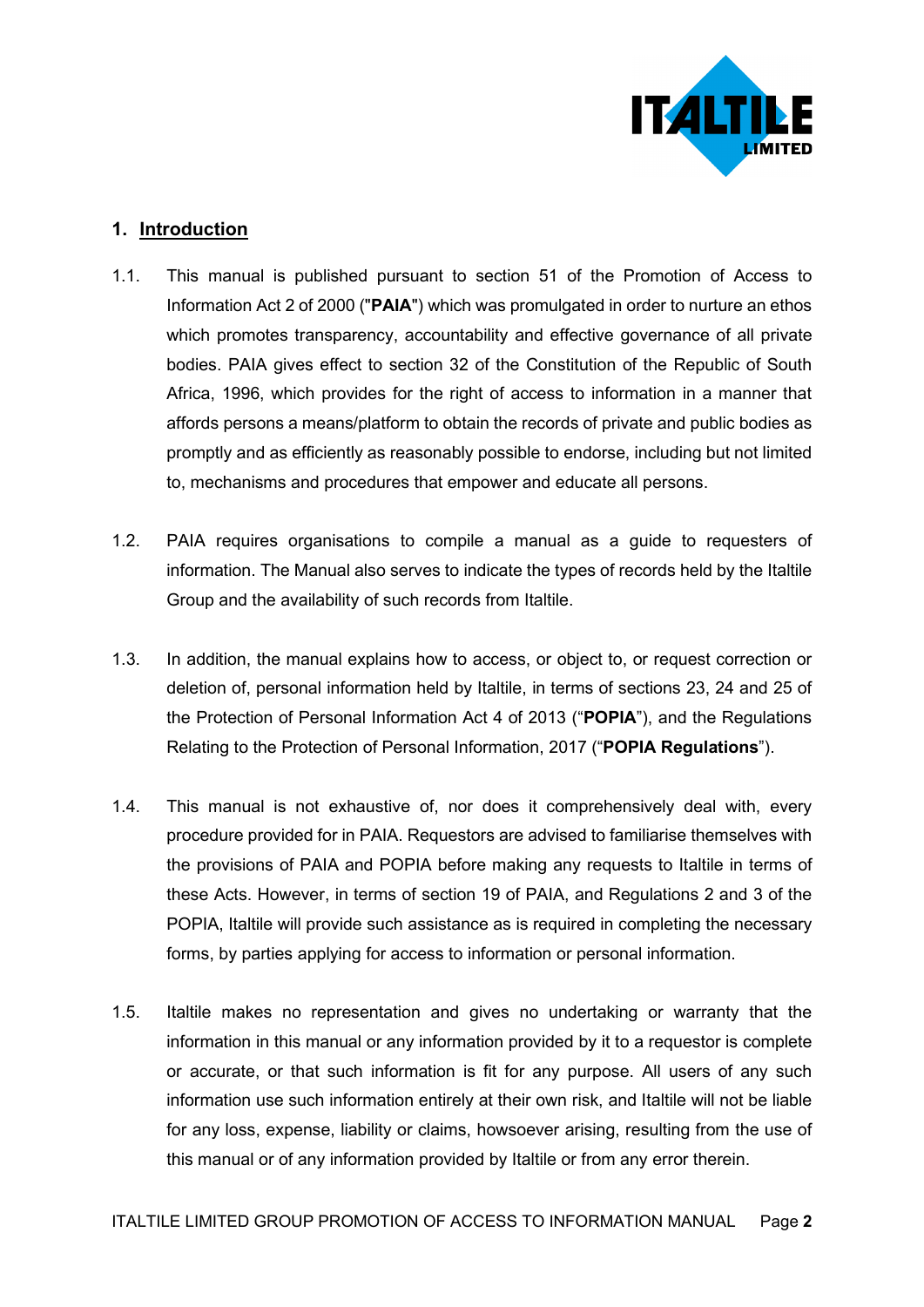

## **1. Introduction**

- 1.1. This manual is published pursuant to section 51 of the Promotion of Access to Information Act 2 of 2000 ("**PAIA**") which was promulgated in order to nurture an ethos which promotes transparency, accountability and effective governance of all private bodies. PAIA gives effect to section 32 of the Constitution of the Republic of South Africa, 1996, which provides for the right of access to information in a manner that affords persons a means/platform to obtain the records of private and public bodies as promptly and as efficiently as reasonably possible to endorse, including but not limited to, mechanisms and procedures that empower and educate all persons.
- 1.2. PAIA requires organisations to compile a manual as a guide to requesters of information. The Manual also serves to indicate the types of records held by the Italtile Group and the availability of such records from Italtile.
- 1.3. In addition, the manual explains how to access, or object to, or request correction or deletion of, personal information held by Italtile, in terms of sections 23, 24 and 25 of the Protection of Personal Information Act 4 of 2013 ("**POPIA**"), and the Regulations Relating to the Protection of Personal Information, 2017 ("**POPIA Regulations**").
- 1.4. This manual is not exhaustive of, nor does it comprehensively deal with, every procedure provided for in PAIA. Requestors are advised to familiarise themselves with the provisions of PAIA and POPIA before making any requests to Italtile in terms of these Acts. However, in terms of section 19 of PAIA, and Regulations 2 and 3 of the POPIA, Italtile will provide such assistance as is required in completing the necessary forms, by parties applying for access to information or personal information.
- 1.5. Italtile makes no representation and gives no undertaking or warranty that the information in this manual or any information provided by it to a requestor is complete or accurate, or that such information is fit for any purpose. All users of any such information use such information entirely at their own risk, and Italtile will not be liable for any loss, expense, liability or claims, howsoever arising, resulting from the use of this manual or of any information provided by Italtile or from any error therein.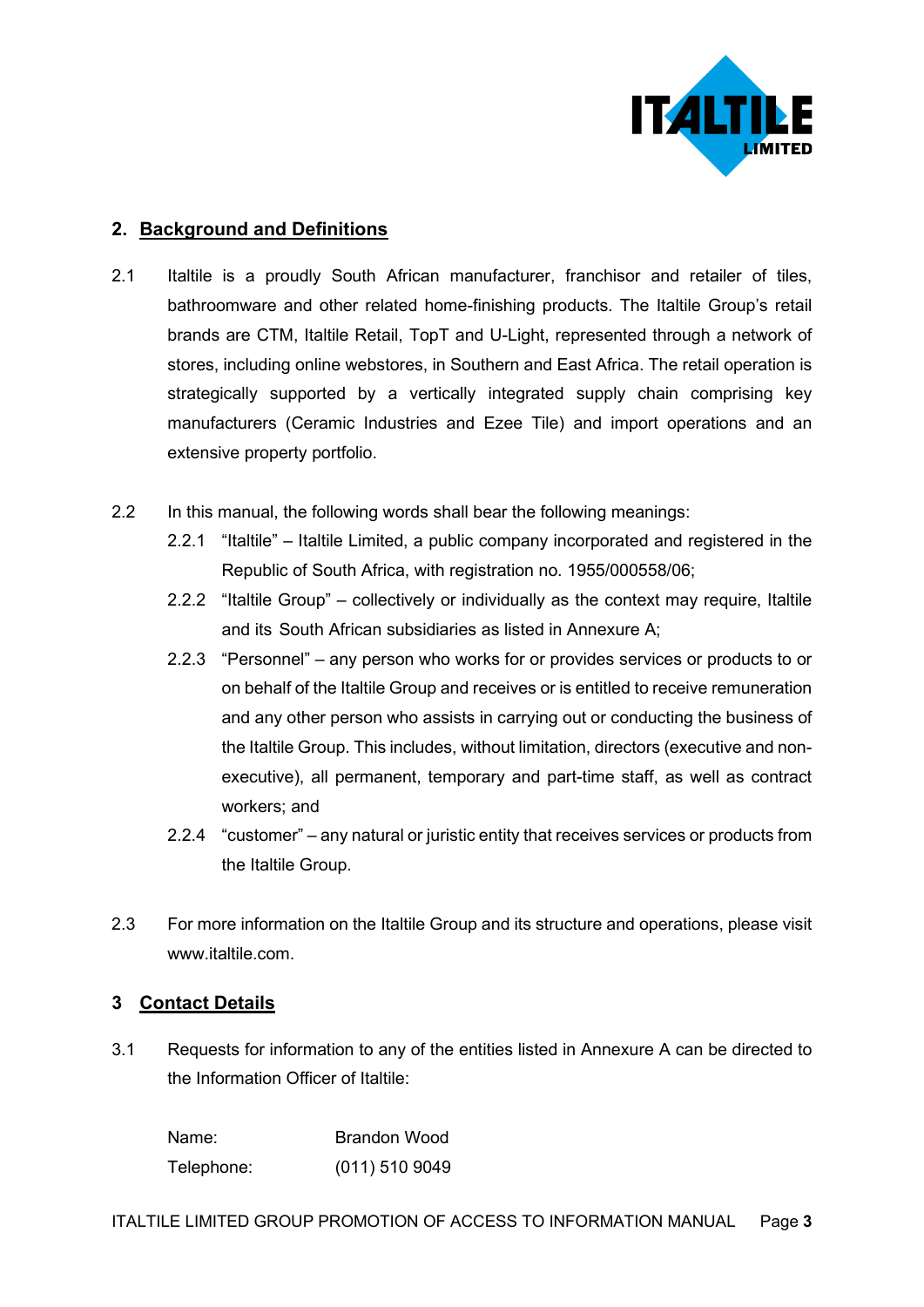

## **2. Background and Definitions**

- 2.1 Italtile is a proudly South African manufacturer, franchisor and retailer of tiles, bathroomware and other related home-finishing products. The Italtile Group's retail brands are CTM, Italtile Retail, TopT and U-Light, represented through a network of stores, including online webstores, in Southern and East Africa. The retail operation is strategically supported by a vertically integrated supply chain comprising key manufacturers (Ceramic Industries and Ezee Tile) and import operations and an extensive property portfolio.
- 2.2 In this manual, the following words shall bear the following meanings:
	- 2.2.1 "Italtile" Italtile Limited, a public company incorporated and registered in the Republic of South Africa, with registration no. 1955/000558/06;
	- 2.2.2 "Italtile Group" collectively or individually as the context may require, Italtile and its South African subsidiaries as listed in Annexure A;
	- 2.2.3 "Personnel" any person who works for or provides services or products to or on behalf of the Italtile Group and receives or is entitled to receive remuneration and any other person who assists in carrying out or conducting the business of the Italtile Group. This includes, without limitation, directors (executive and nonexecutive), all permanent, temporary and part-time staff, as well as contract workers; and
	- 2.2.4 "customer" any natural or juristic entity that receives services or products from the Italtile Group.
- 2.3 For more information on the Italtile Group and its structure and operations, please visit www.italtile.com.

## **3 Contact Details**

3.1 Requests for information to any of the entities listed in Annexure A can be directed to the Information Officer of Italtile:

| Name:      | <b>Brandon Wood</b> |
|------------|---------------------|
| Telephone: | $(011)$ 510 9049    |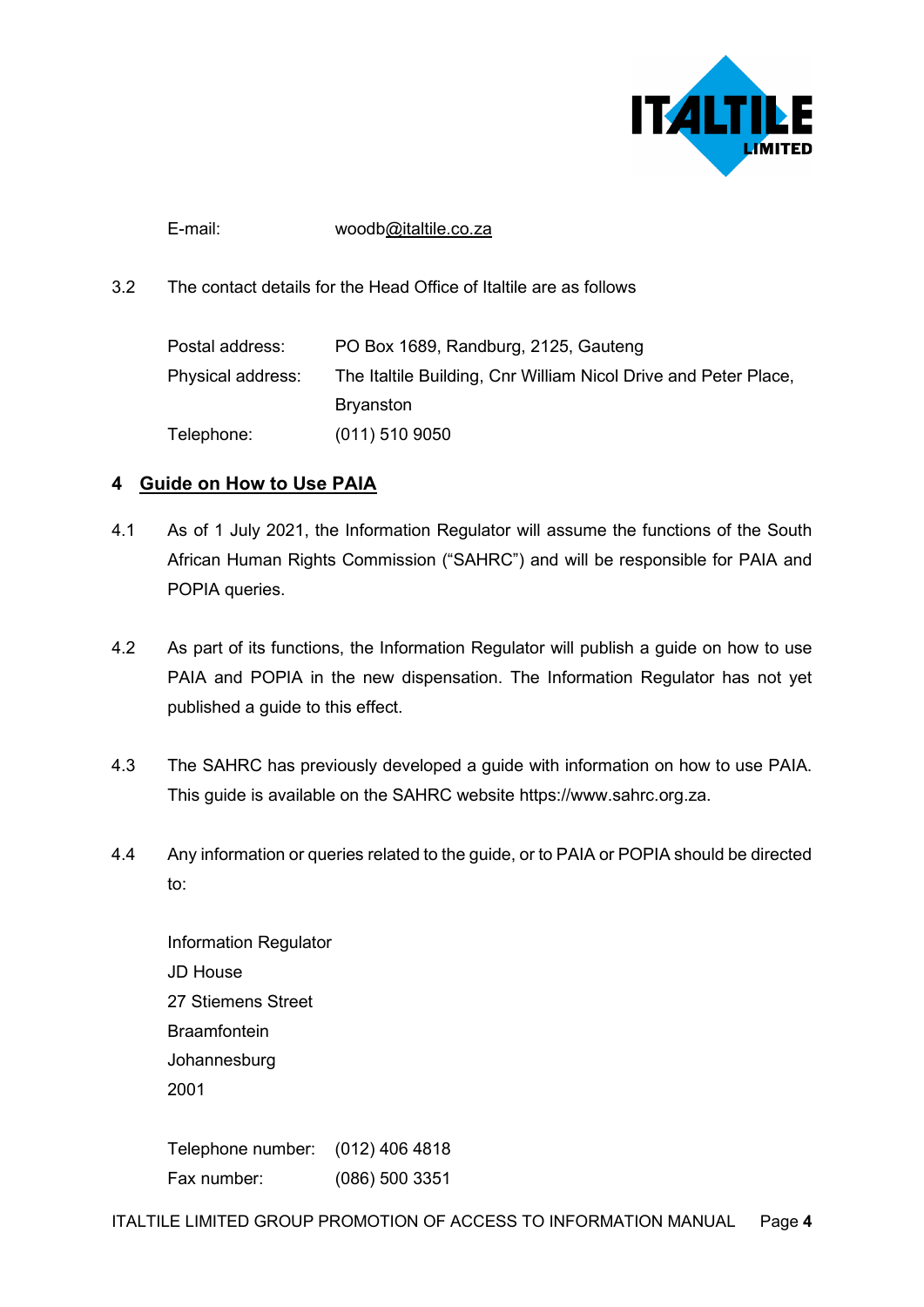

E-mail: wood[b@italtile.co.za](mailto:@italtile.co.za)

3.2 The contact details for the Head Office of Italtile are as follows

| Postal address:   | PO Box 1689, Randburg, 2125, Gauteng                            |
|-------------------|-----------------------------------------------------------------|
| Physical address: | The Italtile Building, Cnr William Nicol Drive and Peter Place, |
|                   | <b>Bryanston</b>                                                |
| Telephone:        | $(011)$ 510 9050                                                |

## **4 Guide on How to Use PAIA**

- 4.1 As of 1 July 2021, the Information Regulator will assume the functions of the South African Human Rights Commission ("SAHRC") and will be responsible for PAIA and POPIA queries.
- 4.2 As part of its functions, the Information Regulator will publish a guide on how to use PAIA and POPIA in the new dispensation. The Information Regulator has not yet published a guide to this effect.
- 4.3 The SAHRC has previously developed a guide with information on how to use PAIA. This guide is available on the SAHRC website https://www.sahrc.org.za.
- 4.4 Any information or queries related to the guide, or to PAIA or POPIA should be directed to:

Information Regulator JD House 27 Stiemens Street **Braamfontein** Johannesburg 2001

Telephone number: (012) 406 4818 Fax number: (086) 500 3351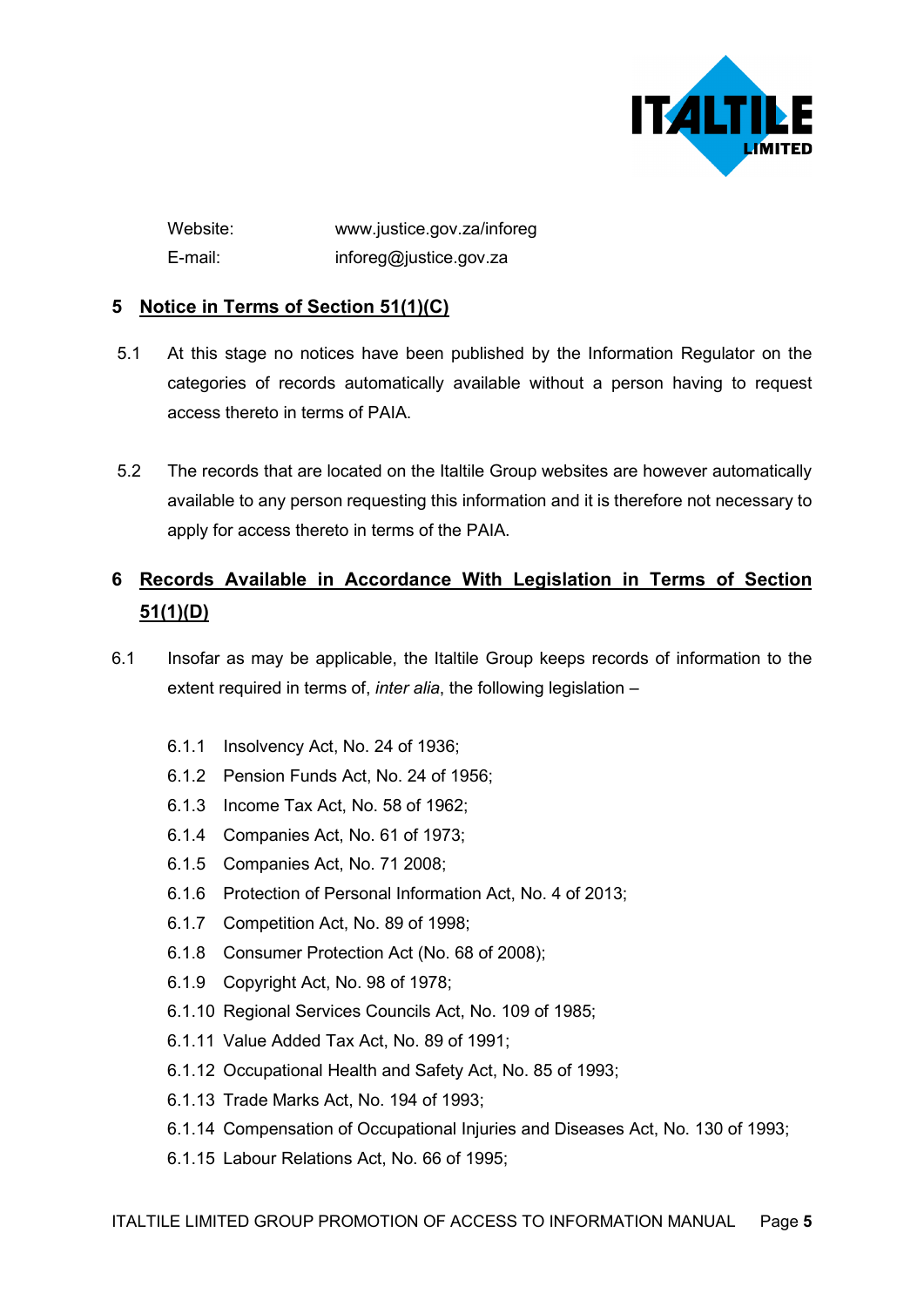

Website: www.justice.gov.za/inforeg E-mail: inforeg@justice.gov.za

## **5 Notice in Terms of Section 51(1)(C)**

- 5.1 At this stage no notices have been published by the Information Regulator on the categories of records automatically available without a person having to request access thereto in terms of PAIA.
- 5.2 The records that are located on the Italtile Group websites are however automatically available to any person requesting this information and it is therefore not necessary to apply for access thereto in terms of the PAIA.

# **6 Records Available in Accordance With Legislation in Terms of Section 51(1)(D)**

- 6.1 Insofar as may be applicable, the Italtile Group keeps records of information to the extent required in terms of, *inter alia*, the following legislation –
	- 6.1.1 Insolvency Act, No. 24 of 1936;
	- 6.1.2 Pension Funds Act, No. 24 of 1956;
	- 6.1.3 Income Tax Act, No. 58 of 1962;
	- 6.1.4 Companies Act, No. 61 of 1973;
	- 6.1.5 Companies Act, No. 71 2008;
	- 6.1.6 Protection of Personal Information Act, No. 4 of 2013;
	- 6.1.7 Competition Act, No. 89 of 1998;
	- 6.1.8 Consumer Protection Act (No. 68 of 2008);
	- 6.1.9 Copyright Act, No. 98 of 1978;
	- 6.1.10 Regional Services Councils Act, No. 109 of 1985;
	- 6.1.11 Value Added Tax Act, No. 89 of 1991;
	- 6.1.12 Occupational Health and Safety Act, No. 85 of 1993;
	- 6.1.13 Trade Marks Act, No. 194 of 1993;
	- 6.1.14 Compensation of Occupational Injuries and Diseases Act, No. 130 of 1993;
	- 6.1.15 Labour Relations Act, No. 66 of 1995;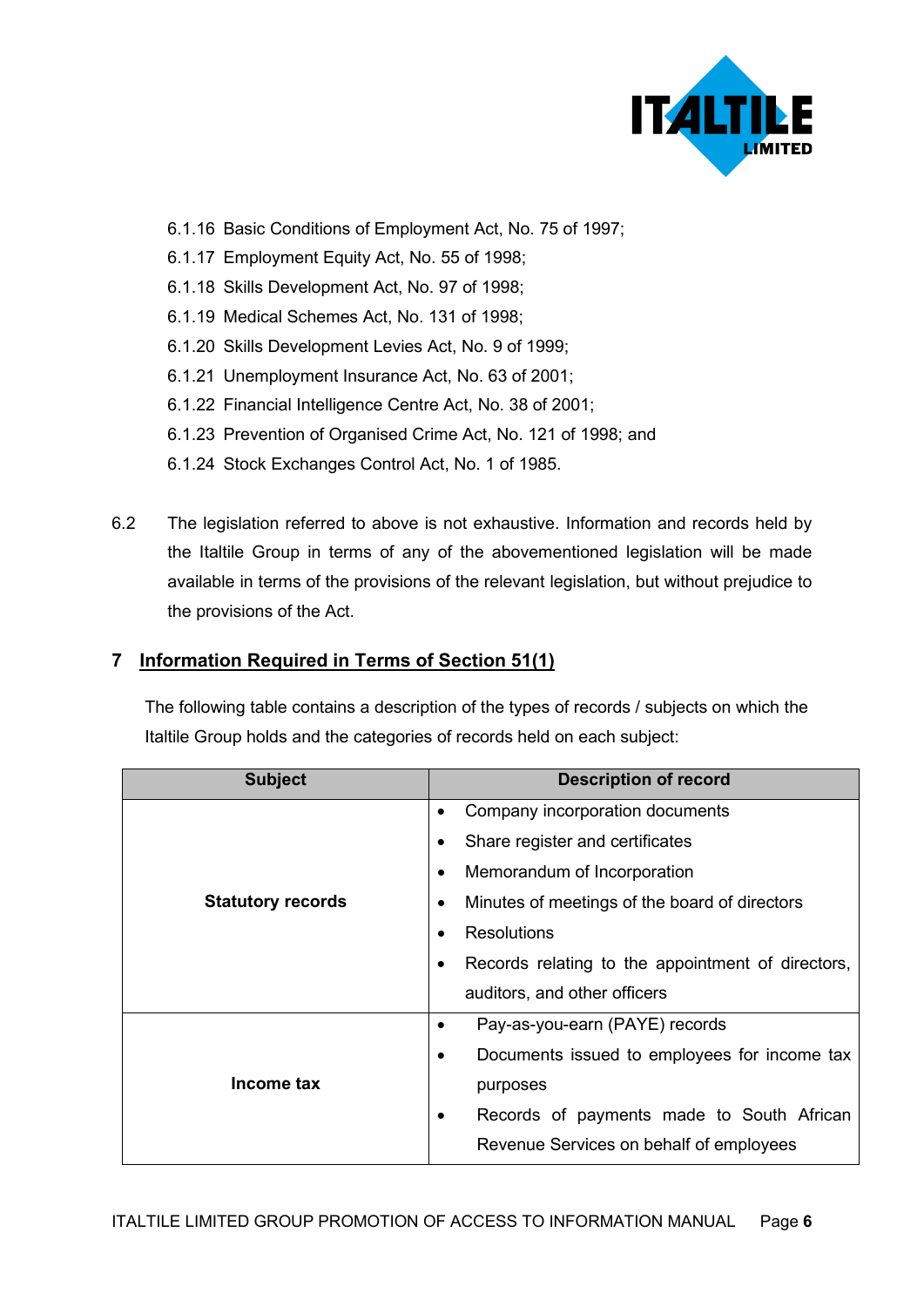

- 6.1.16 Basic Conditions of Employment Act, No. 75 of 1997;
- 6.1.17 Employment Equity Act, No. 55 of 1998;
- 6.1.18 Skills Development Act, No. 97 of 1998;
- 6.1.19 Medical Schemes Act, No. 131 of 1998;
- 6.1.20 Skills Development Levies Act, No. 9 of 1999;
- 6.1.21 Unemployment Insurance Act, No. 63 of 2001;
- 6.1.22 Financial Intelligence Centre Act, No. 38 of 2001;
- 6.1.23 Prevention of Organised Crime Act, No. 121 of 1998; and
- 6.1.24 Stock Exchanges Control Act, No. 1 of 1985.
- 6.2 The legislation referred to above is not exhaustive. Information and records held by the Italtile Group in terms of any of the abovementioned legislation will be made available in terms of the provisions of the relevant legislation, but without prejudice to the provisions of the Act.

## **7 Information Required in Terms of Section 51(1)**

The following table contains a description of the types of records / subjects on which the Italtile Group holds and the categories of records held on each subject:

| <b>Subject</b>           | <b>Description of record</b>                                   |
|--------------------------|----------------------------------------------------------------|
|                          | Company incorporation documents<br>$\bullet$                   |
|                          | Share register and certificates<br>٠                           |
|                          | Memorandum of Incorporation<br>$\bullet$                       |
| <b>Statutory records</b> | Minutes of meetings of the board of directors<br>$\bullet$     |
|                          | <b>Resolutions</b>                                             |
|                          | Records relating to the appointment of directors,<br>$\bullet$ |
|                          | auditors, and other officers                                   |
|                          | Pay-as-you-earn (PAYE) records<br>$\bullet$                    |
|                          | Documents issued to employees for income tax<br>٠              |
| Income tax               | purposes                                                       |
|                          | Records of payments made to South African<br>$\bullet$         |
|                          | Revenue Services on behalf of employees                        |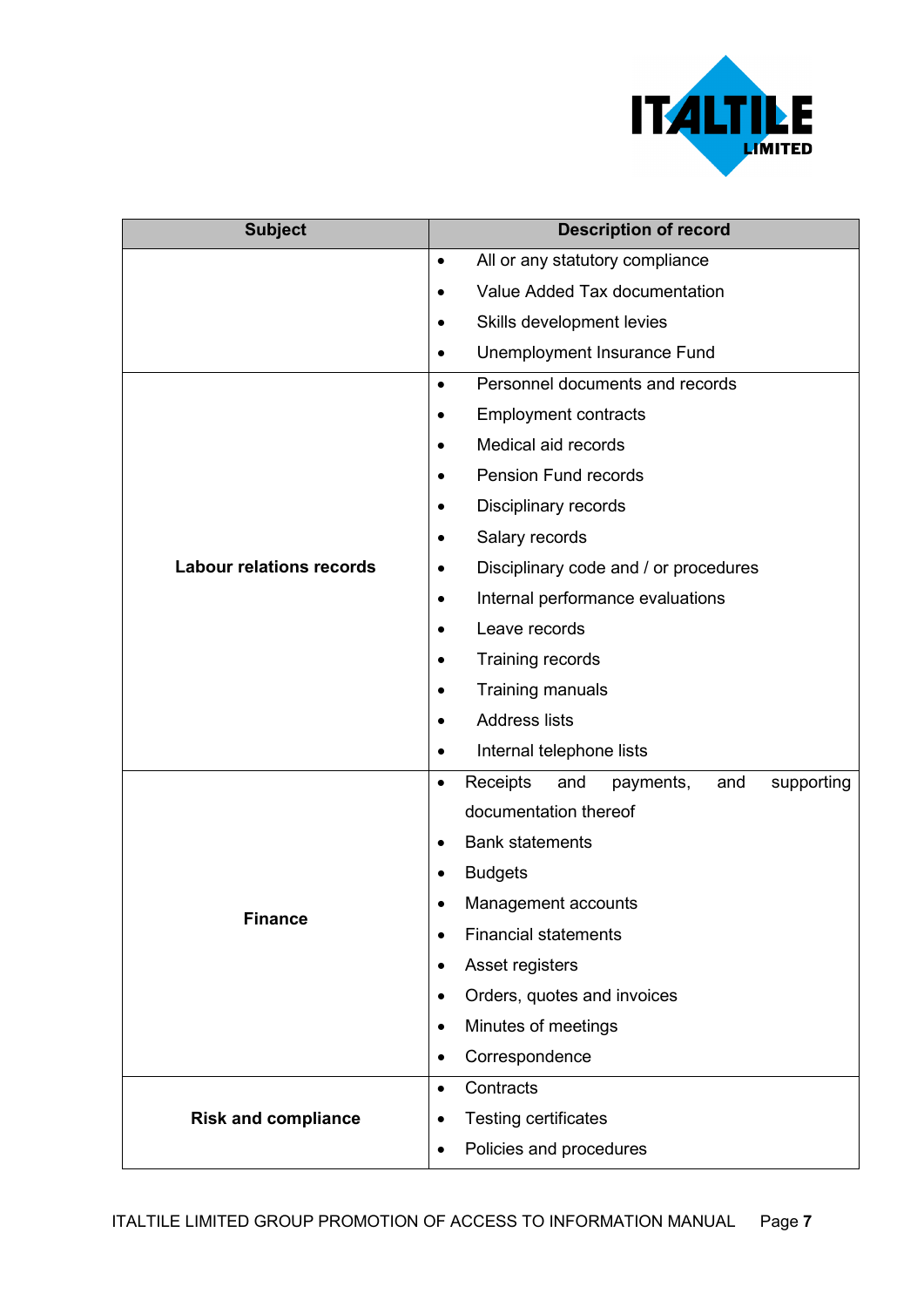

| <b>Subject</b>                  | <b>Description of record</b>                                   |
|---------------------------------|----------------------------------------------------------------|
|                                 | All or any statutory compliance<br>$\bullet$                   |
|                                 | Value Added Tax documentation<br>$\bullet$                     |
|                                 | Skills development levies<br>$\bullet$                         |
|                                 | Unemployment Insurance Fund<br>$\bullet$                       |
|                                 | Personnel documents and records<br>$\bullet$                   |
|                                 | <b>Employment contracts</b><br>$\bullet$                       |
|                                 | Medical aid records<br>$\bullet$                               |
|                                 | <b>Pension Fund records</b><br>$\bullet$                       |
|                                 | Disciplinary records<br>$\bullet$                              |
|                                 | Salary records<br>$\bullet$                                    |
| <b>Labour relations records</b> | Disciplinary code and / or procedures<br>٠                     |
|                                 | Internal performance evaluations<br>$\bullet$                  |
|                                 | Leave records<br>$\bullet$                                     |
|                                 | Training records<br>٠                                          |
|                                 | Training manuals<br>$\bullet$                                  |
|                                 | <b>Address lists</b><br>$\bullet$                              |
|                                 | Internal telephone lists<br>$\bullet$                          |
|                                 | Receipts<br>and<br>payments,<br>and<br>supporting<br>$\bullet$ |
|                                 | documentation thereof                                          |
| <b>Finance</b>                  | <b>Bank statements</b><br>$\bullet$                            |
|                                 | <b>Budgets</b>                                                 |
|                                 | Management accounts                                            |
|                                 | <b>Financial statements</b><br>$\bullet$                       |
|                                 | Asset registers<br>$\bullet$                                   |
|                                 | Orders, quotes and invoices<br>$\bullet$                       |
|                                 | Minutes of meetings<br>$\bullet$                               |
|                                 | Correspondence<br>$\bullet$                                    |
|                                 | Contracts<br>$\bullet$                                         |
| <b>Risk and compliance</b>      | <b>Testing certificates</b><br>$\bullet$                       |
|                                 | Policies and procedures<br>$\bullet$                           |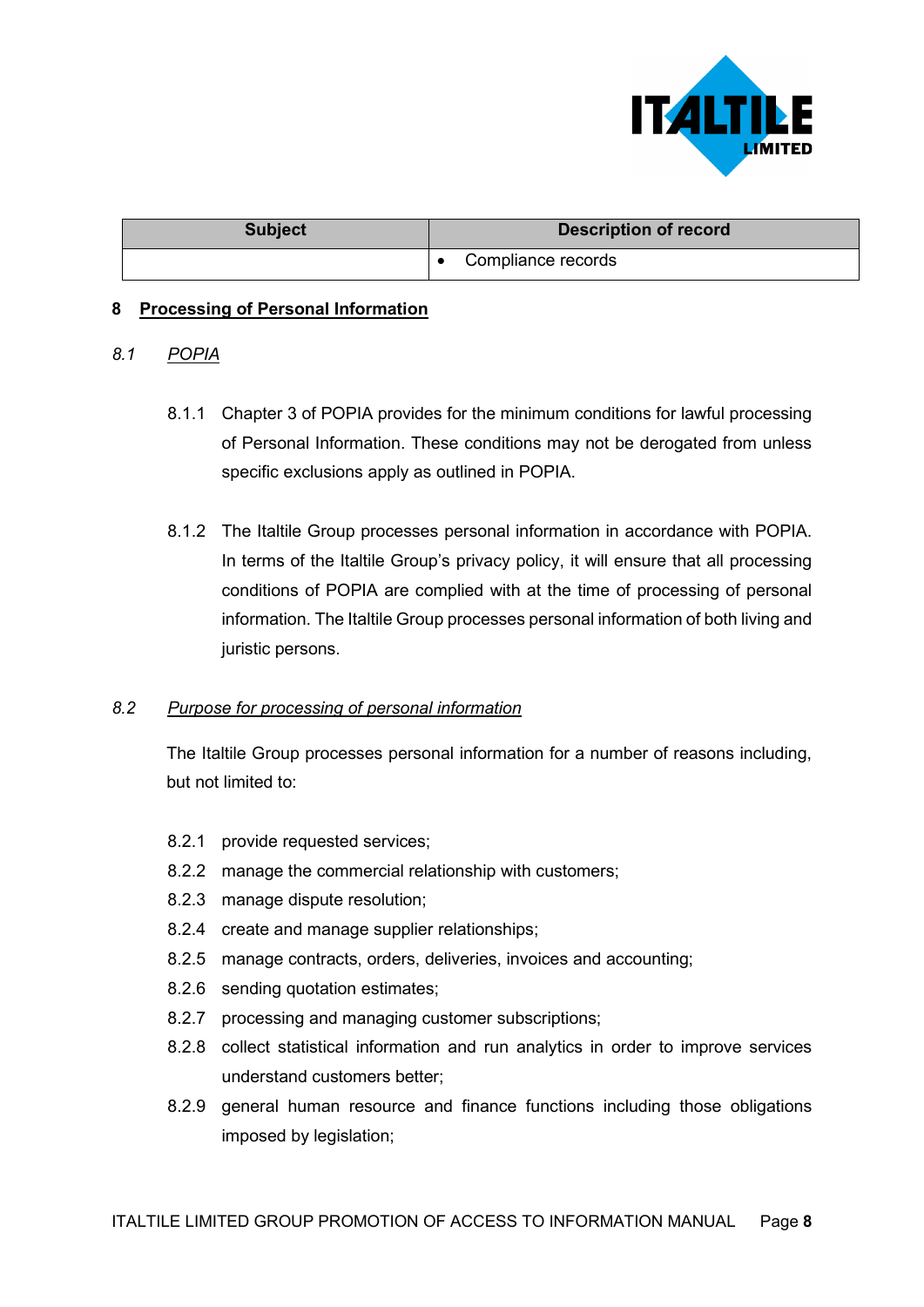

| <b>Subject</b> | <b>Description of record</b> |
|----------------|------------------------------|
|                | Compliance records           |

#### **8 Processing of Personal Information**

#### *8.1 POPIA*

- 8.1.1 Chapter 3 of POPIA provides for the minimum conditions for lawful processing of Personal Information. These conditions may not be derogated from unless specific exclusions apply as outlined in POPIA.
- 8.1.2 The Italtile Group processes personal information in accordance with POPIA. In terms of the Italtile Group's privacy policy, it will ensure that all processing conditions of POPIA are complied with at the time of processing of personal information. The Italtile Group processes personal information of both living and juristic persons.

#### *8.2 Purpose for processing of personal information*

The Italtile Group processes personal information for a number of reasons including, but not limited to:

- 8.2.1 provide requested services;
- 8.2.2 manage the commercial relationship with customers;
- 8.2.3 manage dispute resolution;
- 8.2.4 create and manage supplier relationships;
- 8.2.5 manage contracts, orders, deliveries, invoices and accounting;
- 8.2.6 sending quotation estimates;
- 8.2.7 processing and managing customer subscriptions;
- 8.2.8 collect statistical information and run analytics in order to improve services understand customers better;
- 8.2.9 general human resource and finance functions including those obligations imposed by legislation;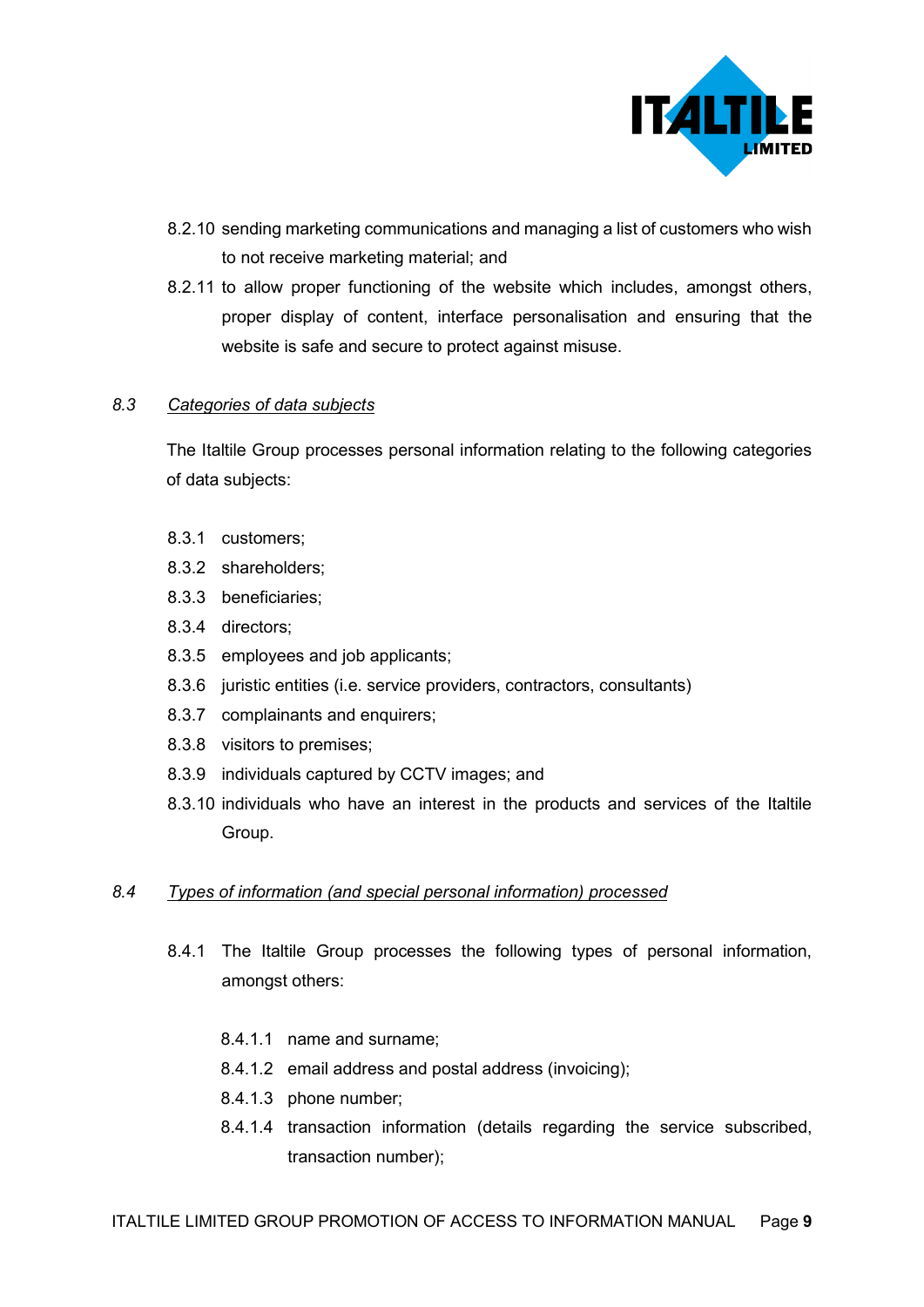

- 8.2.10 sending marketing communications and managing a list of customers who wish to not receive marketing material; and
- 8.2.11 to allow proper functioning of the website which includes, amongst others, proper display of content, interface personalisation and ensuring that the website is safe and secure to protect against misuse.

#### *8.3 Categories of data subjects*

The Italtile Group processes personal information relating to the following categories of data subjects:

- 8.3.1 customers;
- 8.3.2 shareholders;
- 8.3.3 beneficiaries;
- 8.3.4 directors;
- 8.3.5 employees and job applicants;
- 8.3.6 juristic entities (i.e. service providers, contractors, consultants)
- 8.3.7 complainants and enquirers;
- 8.3.8 visitors to premises;
- 8.3.9 individuals captured by CCTV images; and
- 8.3.10 individuals who have an interest in the products and services of the Italtile Group.

#### *8.4 Types of information (and special personal information) processed*

- 8.4.1 The Italtile Group processes the following types of personal information, amongst others:
	- 8.4.1.1 name and surname;
	- 8.4.1.2 email address and postal address (invoicing);
	- 8.4.1.3 phone number;
	- 8.4.1.4 transaction information (details regarding the service subscribed, transaction number);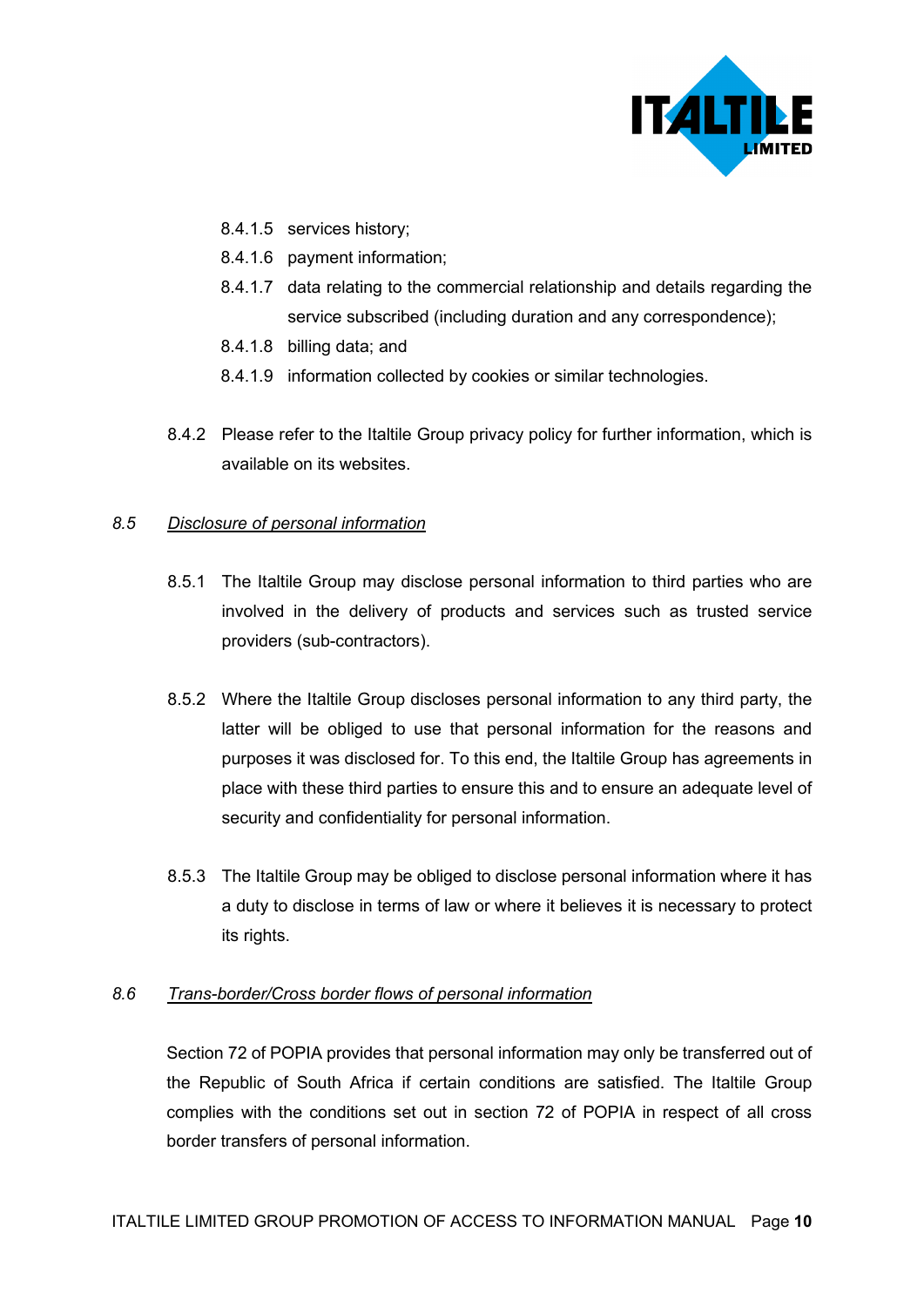

- 8.4.1.5 services history;
- 8.4.1.6 payment information;
- 8.4.1.7 data relating to the commercial relationship and details regarding the service subscribed (including duration and any correspondence);
- 8.4.1.8 billing data; and
- 8.4.1.9 information collected by cookies or similar technologies.
- 8.4.2 Please refer to the Italtile Group privacy policy for further information, which is available on its websites.

#### *8.5 Disclosure of personal information*

- 8.5.1 The Italtile Group may disclose personal information to third parties who are involved in the delivery of products and services such as trusted service providers (sub-contractors).
- 8.5.2 Where the Italtile Group discloses personal information to any third party, the latter will be obliged to use that personal information for the reasons and purposes it was disclosed for. To this end, the Italtile Group has agreements in place with these third parties to ensure this and to ensure an adequate level of security and confidentiality for personal information.
- 8.5.3 The Italtile Group may be obliged to disclose personal information where it has a duty to disclose in terms of law or where it believes it is necessary to protect its rights.

#### *8.6 Trans-border/Cross border flows of personal information*

Section 72 of POPIA provides that personal information may only be transferred out of the Republic of South Africa if certain conditions are satisfied. The Italtile Group complies with the conditions set out in section 72 of POPIA in respect of all cross border transfers of personal information.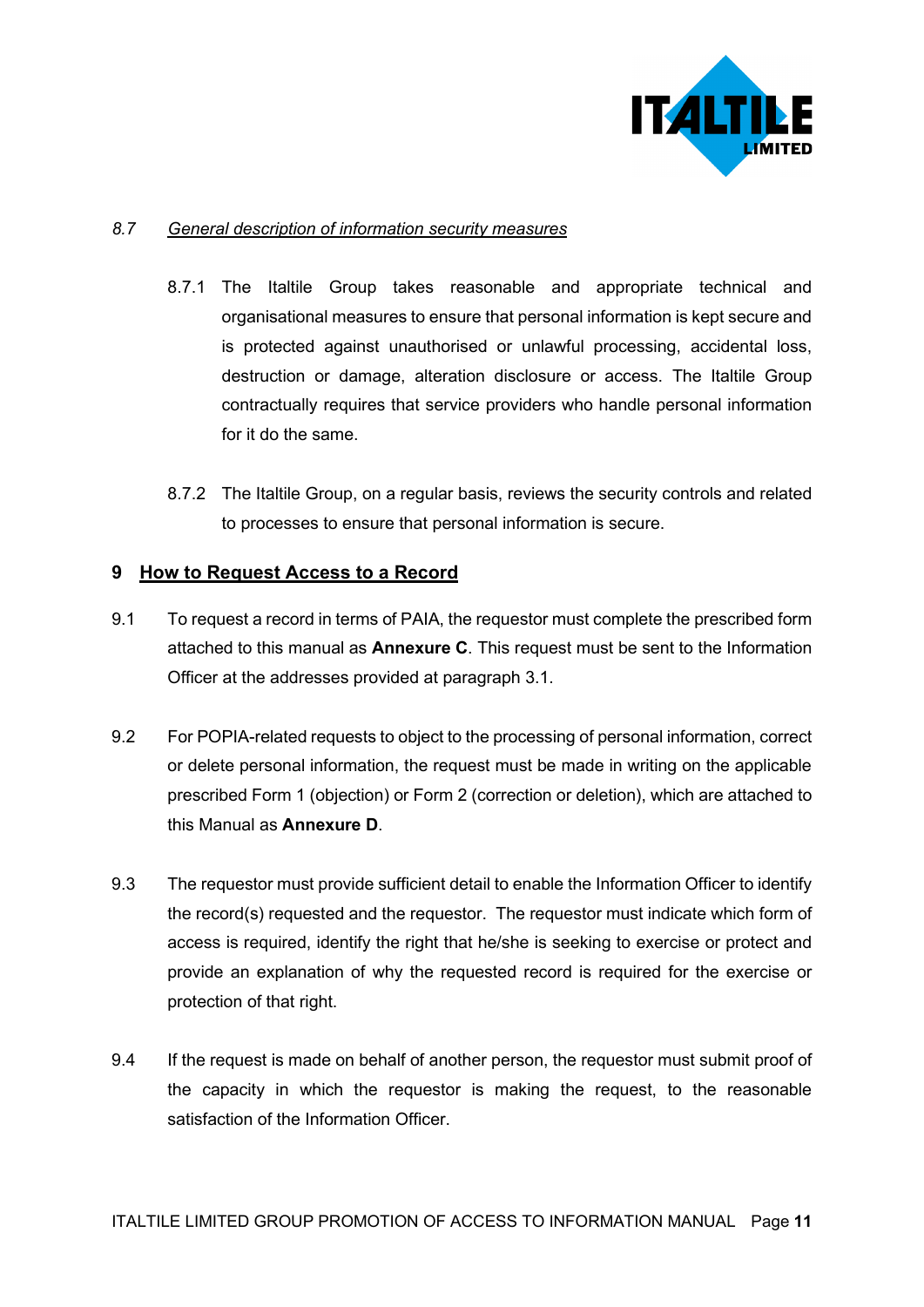

#### *8.7 General description of information security measures*

- 8.7.1 The Italtile Group takes reasonable and appropriate technical and organisational measures to ensure that personal information is kept secure and is protected against unauthorised or unlawful processing, accidental loss, destruction or damage, alteration disclosure or access. The Italtile Group contractually requires that service providers who handle personal information for it do the same.
- 8.7.2 The Italtile Group, on a regular basis, reviews the security controls and related to processes to ensure that personal information is secure.

#### **9 How to Request Access to a Record**

- 9.1 To request a record in terms of PAIA, the requestor must complete the prescribed form attached to this manual as **Annexure C**. This request must be sent to the Information Officer at the addresses provided at paragraph 3.1.
- 9.2 For POPIA-related requests to object to the processing of personal information, correct or delete personal information, the request must be made in writing on the applicable prescribed Form 1 (objection) or Form 2 (correction or deletion), which are attached to this Manual as **Annexure D**.
- 9.3 The requestor must provide sufficient detail to enable the Information Officer to identify the record(s) requested and the requestor. The requestor must indicate which form of access is required, identify the right that he/she is seeking to exercise or protect and provide an explanation of why the requested record is required for the exercise or protection of that right.
- 9.4 If the request is made on behalf of another person, the requestor must submit proof of the capacity in which the requestor is making the request, to the reasonable satisfaction of the Information Officer.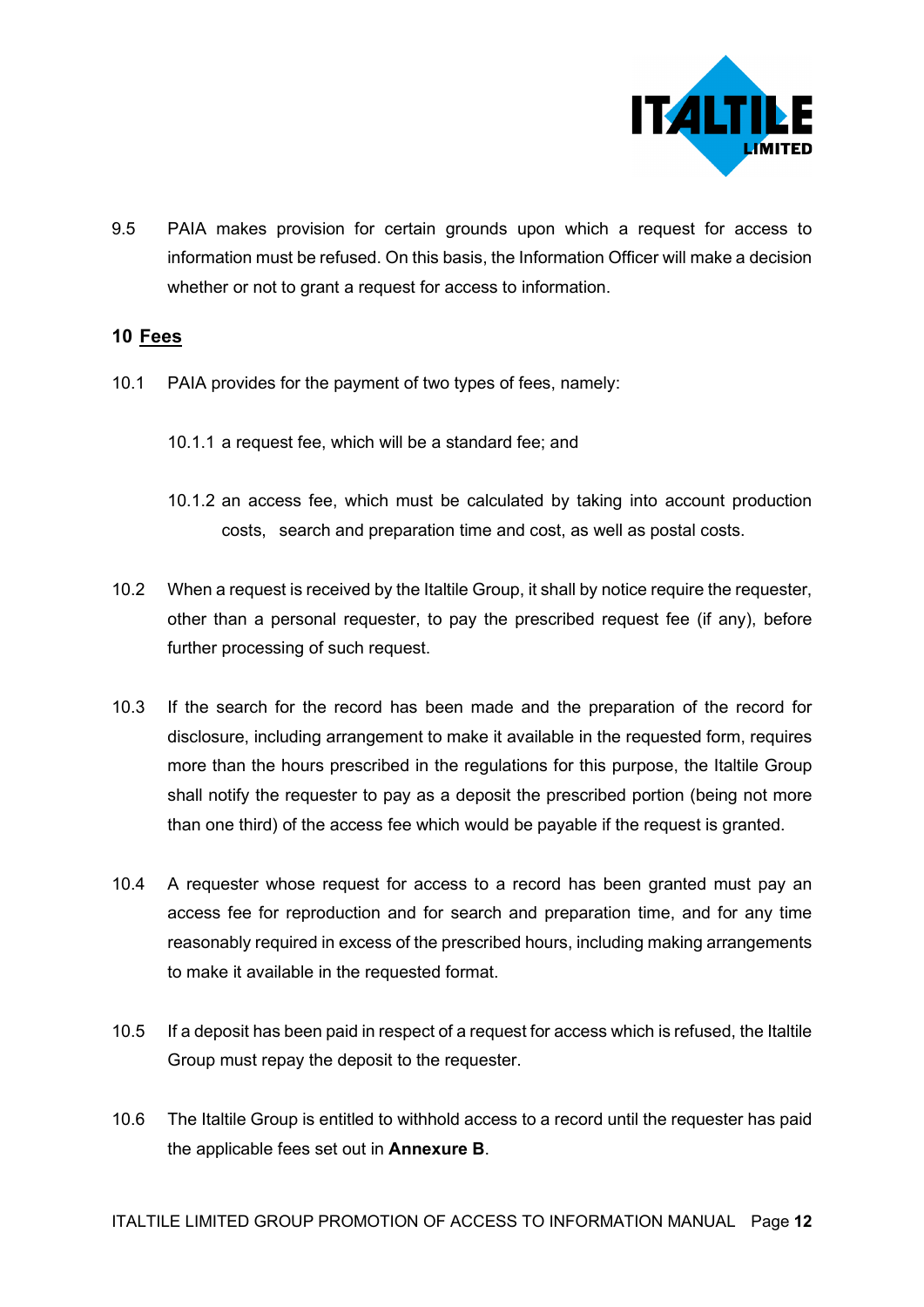

9.5 PAIA makes provision for certain grounds upon which a request for access to information must be refused. On this basis, the Information Officer will make a decision whether or not to grant a request for access to information.

#### **10 Fees**

- 10.1 PAIA provides for the payment of two types of fees, namely:
	- 10.1.1 a request fee, which will be a standard fee; and
	- 10.1.2 an access fee, which must be calculated by taking into account production costs, search and preparation time and cost, as well as postal costs.
- 10.2 When a request is received by the Italtile Group, it shall by notice require the requester, other than a personal requester, to pay the prescribed request fee (if any), before further processing of such request.
- 10.3 If the search for the record has been made and the preparation of the record for disclosure, including arrangement to make it available in the requested form, requires more than the hours prescribed in the regulations for this purpose, the Italtile Group shall notify the requester to pay as a deposit the prescribed portion (being not more than one third) of the access fee which would be payable if the request is granted.
- 10.4 A requester whose request for access to a record has been granted must pay an access fee for reproduction and for search and preparation time, and for any time reasonably required in excess of the prescribed hours, including making arrangements to make it available in the requested format.
- 10.5 If a deposit has been paid in respect of a request for access which is refused, the Italtile Group must repay the deposit to the requester.
- 10.6 The Italtile Group is entitled to withhold access to a record until the requester has paid the applicable fees set out in **Annexure B**.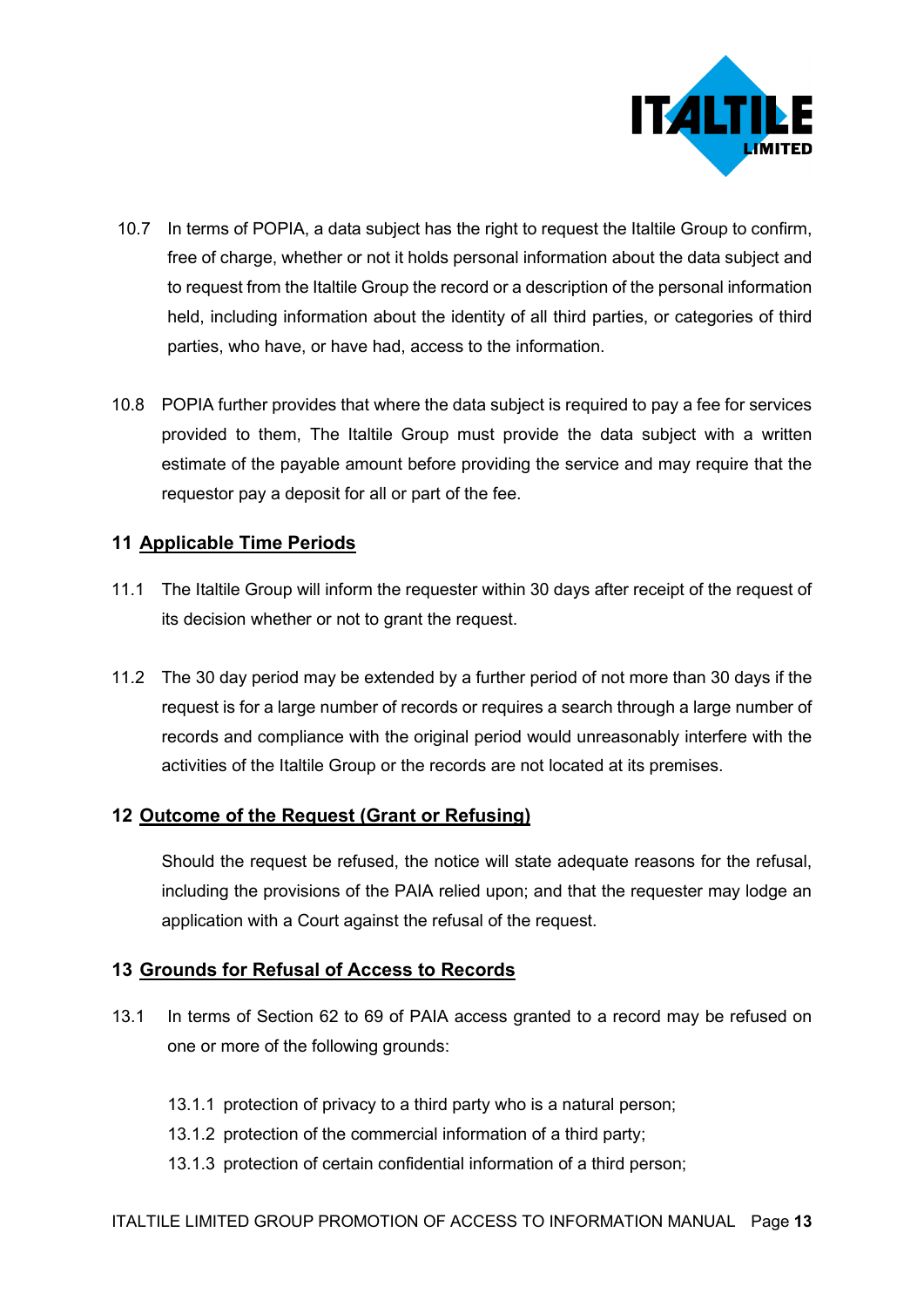

- 10.7 In terms of POPIA, a data subject has the right to request the Italtile Group to confirm, free of charge, whether or not it holds personal information about the data subject and to request from the Italtile Group the record or a description of the personal information held, including information about the identity of all third parties, or categories of third parties, who have, or have had, access to the information.
- 10.8 POPIA further provides that where the data subject is required to pay a fee for services provided to them, The Italtile Group must provide the data subject with a written estimate of the payable amount before providing the service and may require that the requestor pay a deposit for all or part of the fee.

## **11 Applicable Time Periods**

- 11.1 The Italtile Group will inform the requester within 30 days after receipt of the request of its decision whether or not to grant the request.
- 11.2 The 30 day period may be extended by a further period of not more than 30 days if the request is for a large number of records or requires a search through a large number of records and compliance with the original period would unreasonably interfere with the activities of the Italtile Group or the records are not located at its premises.

## **12 Outcome of the Request (Grant or Refusing)**

Should the request be refused, the notice will state adequate reasons for the refusal, including the provisions of the PAIA relied upon; and that the requester may lodge an application with a Court against the refusal of the request.

#### **13 Grounds for Refusal of Access to Records**

- 13.1 In terms of Section 62 to 69 of PAIA access granted to a record may be refused on one or more of the following grounds:
	- 13.1.1 protection of privacy to a third party who is a natural person;
	- 13.1.2 protection of the commercial information of a third party;
	- 13.1.3 protection of certain confidential information of a third person;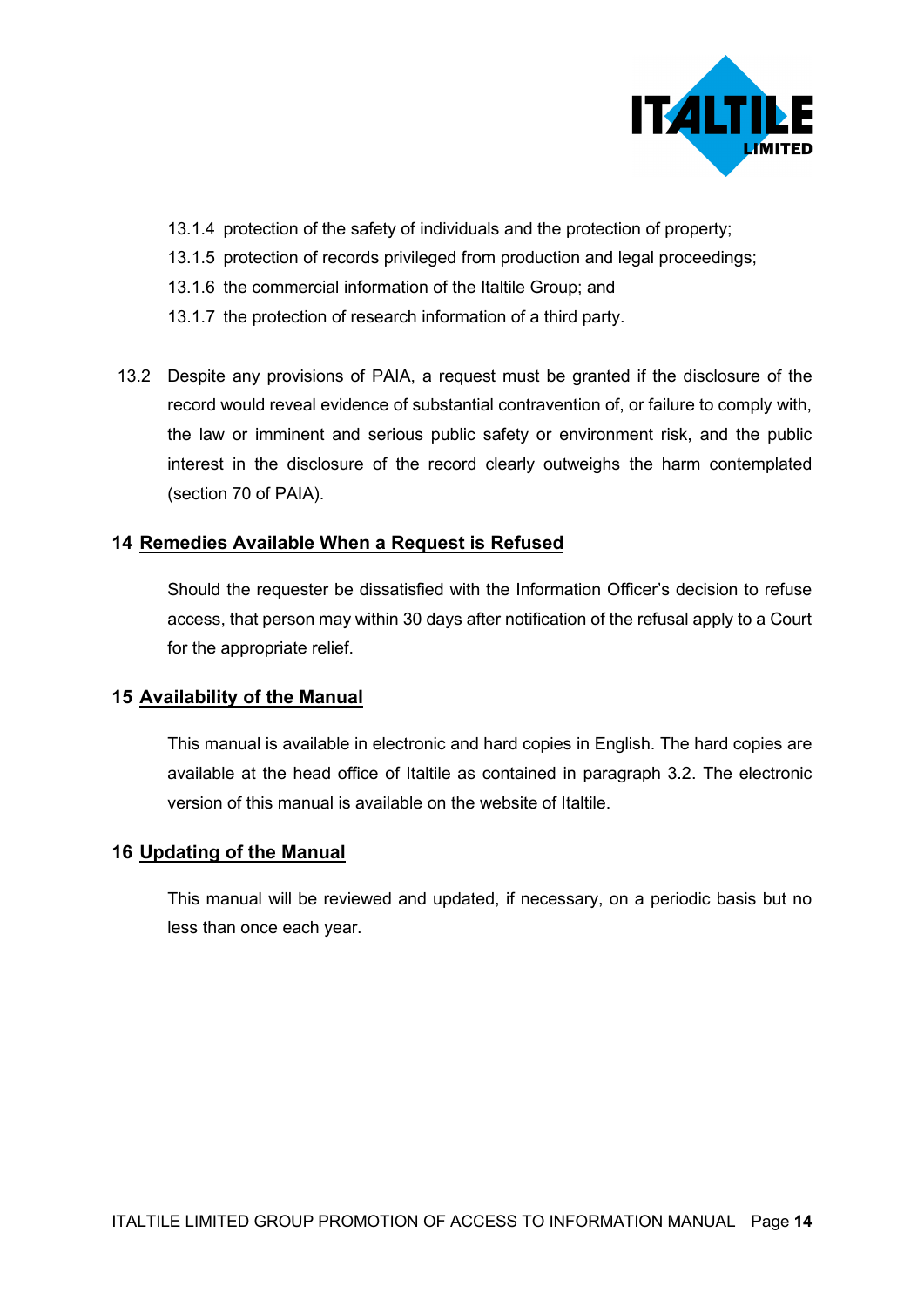

- 13.1.4 protection of the safety of individuals and the protection of property;
- 13.1.5 protection of records privileged from production and legal proceedings;
- 13.1.6 the commercial information of the Italtile Group; and
- 13.1.7 the protection of research information of a third party.
- 13.2 Despite any provisions of PAIA, a request must be granted if the disclosure of the record would reveal evidence of substantial contravention of, or failure to comply with, the law or imminent and serious public safety or environment risk, and the public interest in the disclosure of the record clearly outweighs the harm contemplated (section 70 of PAIA).

## **14 Remedies Available When a Request is Refused**

Should the requester be dissatisfied with the Information Officer's decision to refuse access, that person may within 30 days after notification of the refusal apply to a Court for the appropriate relief.

#### **15 Availability of the Manual**

This manual is available in electronic and hard copies in English. The hard copies are available at the head office of Italtile as contained in paragraph 3.2. The electronic version of this manual is available on the website of Italtile.

#### **16 Updating of the Manual**

This manual will be reviewed and updated, if necessary, on a periodic basis but no less than once each year.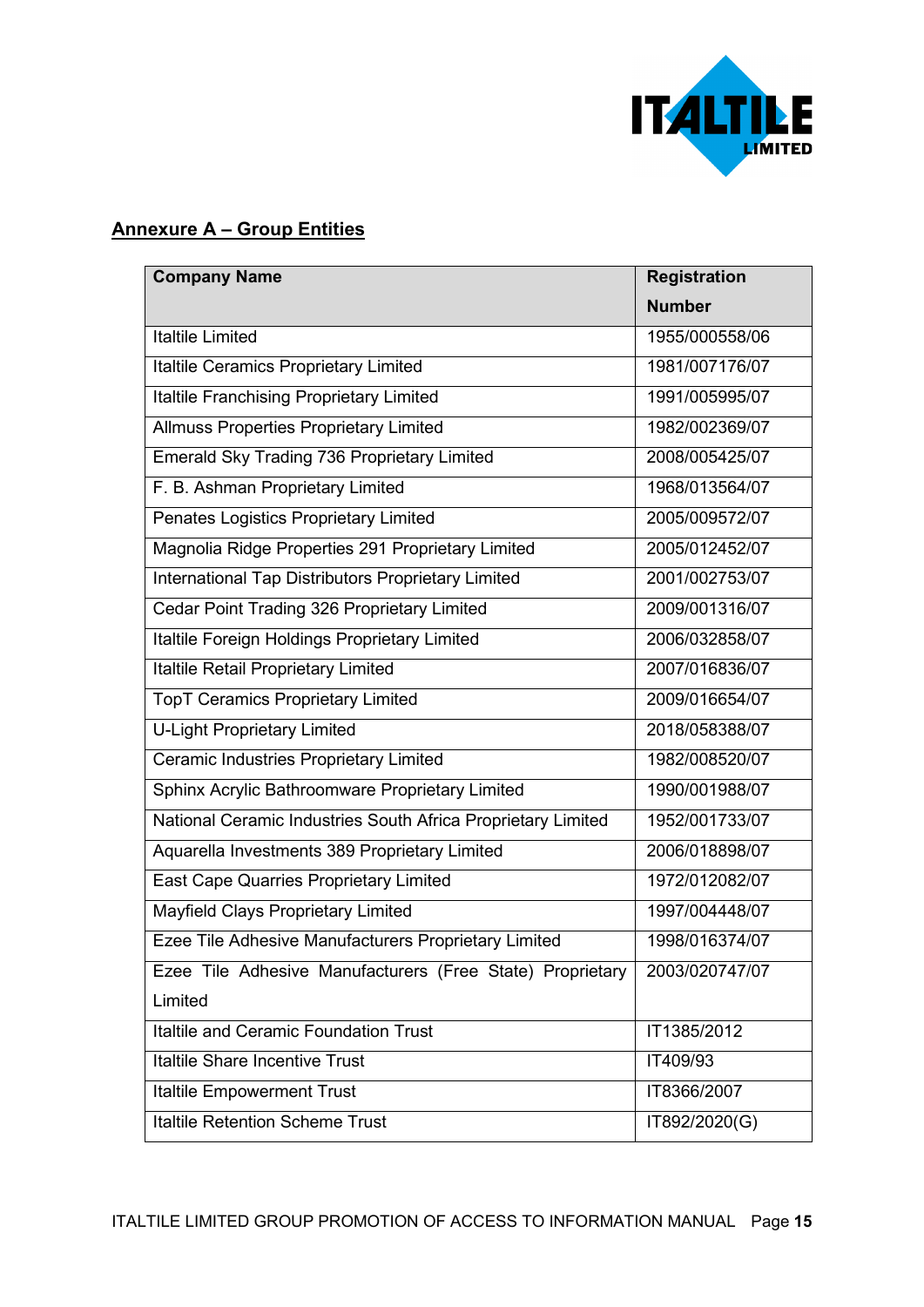

## **Annexure A – Group Entities**

| <b>Company Name</b>                                          | <b>Registration</b> |
|--------------------------------------------------------------|---------------------|
|                                                              | <b>Number</b>       |
| <b>Italtile Limited</b>                                      | 1955/000558/06      |
| Italtile Ceramics Proprietary Limited                        | 1981/007176/07      |
| Italtile Franchising Proprietary Limited                     | 1991/005995/07      |
| <b>Allmuss Properties Proprietary Limited</b>                | 1982/002369/07      |
| Emerald Sky Trading 736 Proprietary Limited                  | 2008/005425/07      |
| F. B. Ashman Proprietary Limited                             | 1968/013564/07      |
| Penates Logistics Proprietary Limited                        | 2005/009572/07      |
| Magnolia Ridge Properties 291 Proprietary Limited            | 2005/012452/07      |
| International Tap Distributors Proprietary Limited           | 2001/002753/07      |
| Cedar Point Trading 326 Proprietary Limited                  | 2009/001316/07      |
| Italtile Foreign Holdings Proprietary Limited                | 2006/032858/07      |
| <b>Italtile Retail Proprietary Limited</b>                   | 2007/016836/07      |
| <b>TopT Ceramics Proprietary Limited</b>                     | 2009/016654/07      |
| <b>U-Light Proprietary Limited</b>                           | 2018/058388/07      |
| Ceramic Industries Proprietary Limited                       | 1982/008520/07      |
| Sphinx Acrylic Bathroomware Proprietary Limited              | 1990/001988/07      |
| National Ceramic Industries South Africa Proprietary Limited | 1952/001733/07      |
| Aquarella Investments 389 Proprietary Limited                | 2006/018898/07      |
| East Cape Quarries Proprietary Limited                       | 1972/012082/07      |
| Mayfield Clays Proprietary Limited                           | 1997/004448/07      |
| Ezee Tile Adhesive Manufacturers Proprietary Limited         | 1998/016374/07      |
| Ezee Tile Adhesive Manufacturers (Free State) Proprietary    | 2003/020747/07      |
| Limited                                                      |                     |
| <b>Italtile and Ceramic Foundation Trust</b>                 | IT1385/2012         |
| Italtile Share Incentive Trust                               | IT409/93            |
| <b>Italtile Empowerment Trust</b>                            | IT8366/2007         |
| <b>Italtile Retention Scheme Trust</b>                       | IT892/2020(G)       |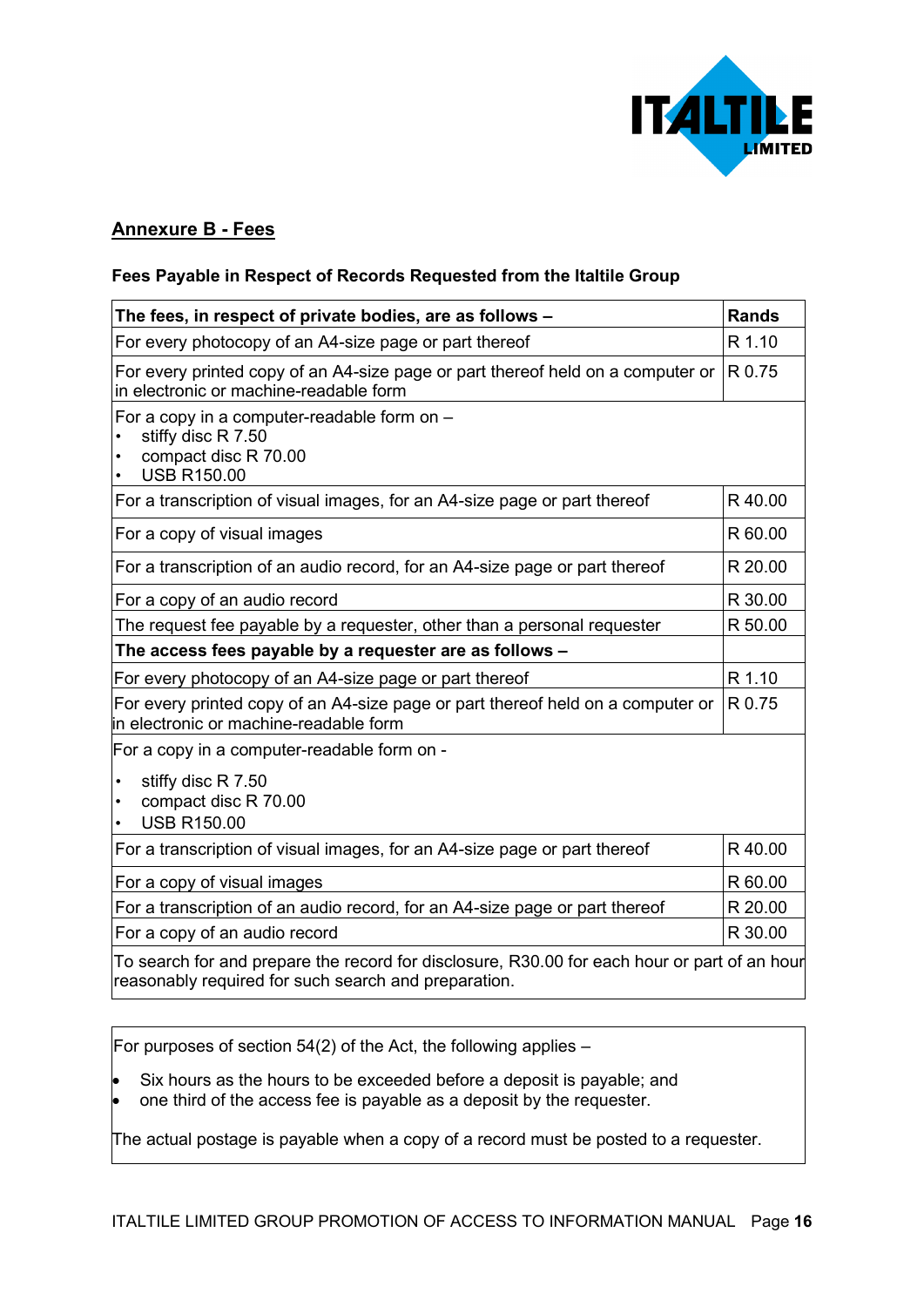

## **Annexure B - Fees**

#### **Fees Payable in Respect of Records Requested from the Italtile Group**

| The fees, in respect of private bodies, are as follows -                                                                  | <b>Rands</b> |
|---------------------------------------------------------------------------------------------------------------------------|--------------|
| For every photocopy of an A4-size page or part thereof                                                                    | R 1.10       |
| For every printed copy of an A4-size page or part thereof held on a computer or<br>in electronic or machine-readable form | R 0.75       |
| For a copy in a computer-readable form on -<br>stiffy disc R 7.50<br>compact disc R 70.00<br><b>USB R150.00</b>           |              |
| For a transcription of visual images, for an A4-size page or part thereof                                                 | R40.00       |
| For a copy of visual images                                                                                               | R 60.00      |
| For a transcription of an audio record, for an A4-size page or part thereof                                               | R 20.00      |
| For a copy of an audio record                                                                                             | R 30.00      |
| The request fee payable by a requester, other than a personal requester                                                   | R 50.00      |
| The access fees payable by a requester are as follows -                                                                   |              |
| For every photocopy of an A4-size page or part thereof                                                                    | R 1.10       |
| For every printed copy of an A4-size page or part thereof held on a computer or<br>in electronic or machine-readable form | R 0.75       |
| For a copy in a computer-readable form on -                                                                               |              |
| stiffy disc R 7.50<br>compact disc R 70.00<br><b>USB R150.00</b>                                                          |              |
| For a transcription of visual images, for an A4-size page or part thereof                                                 | R40.00       |
| For a copy of visual images                                                                                               | R 60.00      |
| For a transcription of an audio record, for an A4-size page or part thereof                                               | R 20.00      |
| For a copy of an audio record                                                                                             | R 30.00      |
| To search for and prepare the record for disclosure, R30.00 for each hour or part of an hour                              |              |

reasonably required for such search and preparation.

For purposes of section 54(2) of the Act, the following applies  $-$ 

- Six hours as the hours to be exceeded before a deposit is payable; and
- one third of the access fee is payable as a deposit by the requester.

The actual postage is payable when a copy of a record must be posted to a requester.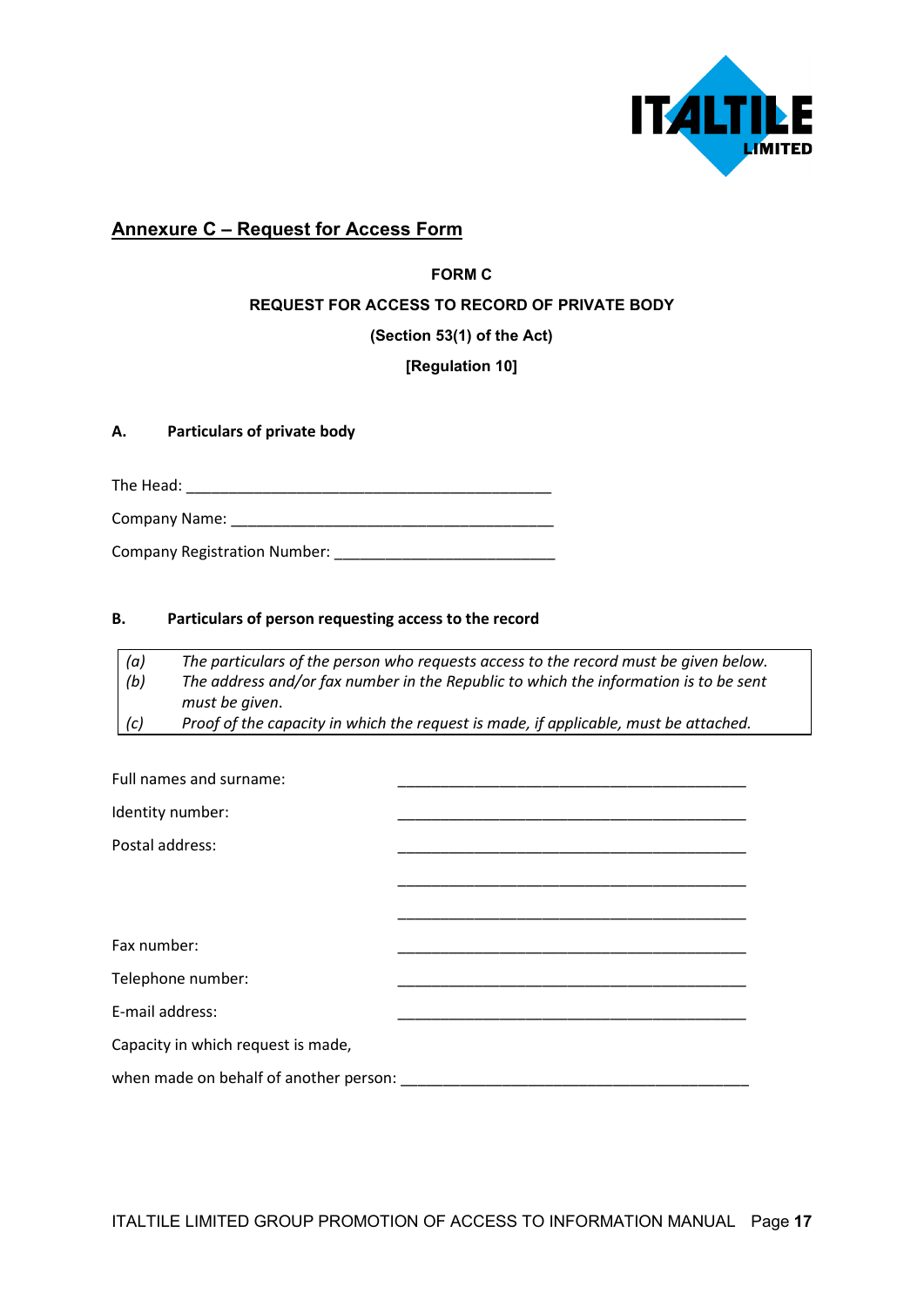

## **Annexure C – Request for Access Form**

## **FORM C REQUEST FOR ACCESS TO RECORD OF PRIVATE BODY**

#### **(Section 53(1) of the Act)**

#### **[Regulation 10]**

#### **A. Particulars of private body**

The Head: \_\_\_\_\_\_\_\_\_\_\_\_\_\_\_\_\_\_\_\_\_\_\_\_\_\_\_\_\_\_\_\_\_\_\_\_\_\_\_\_\_\_\_

Company Name: \_\_\_\_\_\_\_\_\_\_\_\_\_\_\_\_\_\_\_\_\_\_\_\_\_\_\_\_\_\_\_\_\_\_\_\_\_\_

Company Registration Number: \_\_\_\_\_\_\_\_\_\_\_\_\_\_\_\_\_\_\_\_\_\_\_\_\_\_

#### **B. Particulars of person requesting access to the record**

| (a) | The particulars of the person who requests access to the record must be given below. |
|-----|--------------------------------------------------------------------------------------|
| (b) | The address and/or fax number in the Republic to which the information is to be sent |
|     | must be given.                                                                       |
| (c) | Proof of the capacity in which the request is made, if applicable, must be attached. |

| Full names and surname:                |  |
|----------------------------------------|--|
| Identity number:                       |  |
| Postal address:                        |  |
|                                        |  |
|                                        |  |
| Fax number:                            |  |
| Telephone number:                      |  |
| E-mail address:                        |  |
| Capacity in which request is made,     |  |
| when made on behalf of another person: |  |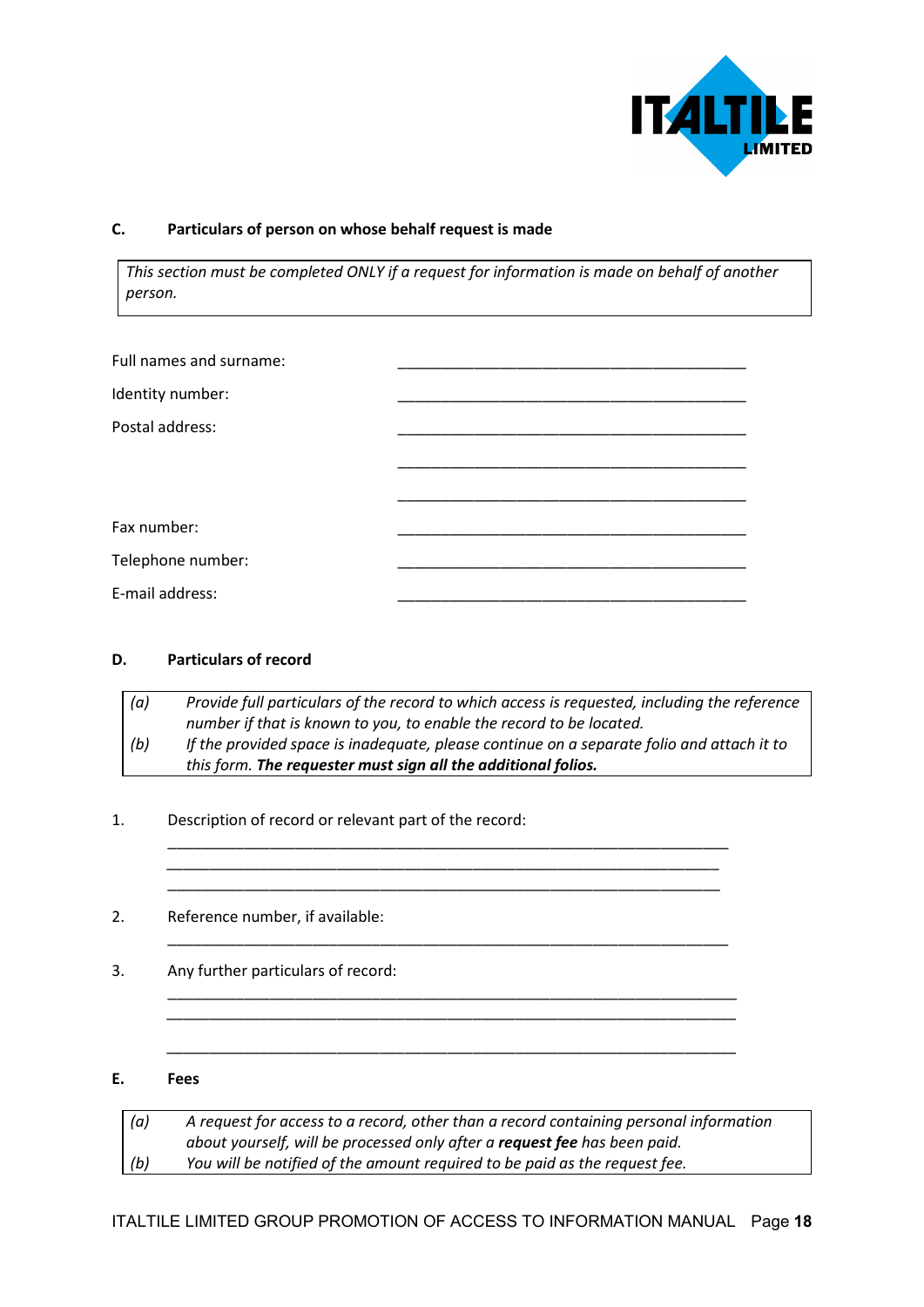

#### **C. Particulars of person on whose behalf request is made**

*This section must be completed ONLY if a request for information is made on behalf of another person.*

#### **D. Particulars of record**

| (a) | Provide full particulars of the record to which access is requested, including the reference |
|-----|----------------------------------------------------------------------------------------------|
|     | number if that is known to you, to enable the record to be located.                          |
| (b) | If the provided space is inadequate, please continue on a separate folio and attach it to    |
|     | this form. The requester must sign all the additional folios.                                |

\_\_\_\_\_\_\_\_\_\_\_\_\_\_\_\_\_\_\_\_\_\_\_\_\_\_\_\_\_\_\_\_\_\_\_\_\_\_\_\_\_\_\_\_\_\_\_\_\_\_\_\_\_\_\_\_\_\_\_\_\_\_\_\_\_\_ \_\_\_\_\_\_\_\_\_\_\_\_\_\_\_\_\_\_\_\_\_\_\_\_\_\_\_\_\_\_\_\_\_\_\_\_\_\_\_\_\_\_\_\_\_\_\_\_\_\_\_\_\_\_\_\_\_\_\_\_\_\_\_\_\_ \_\_\_\_\_\_\_\_\_\_\_\_\_\_\_\_\_\_\_\_\_\_\_\_\_\_\_\_\_\_\_\_\_\_\_\_\_\_\_\_\_\_\_\_\_\_\_\_\_\_\_\_\_\_\_\_\_\_\_\_\_\_\_\_\_

\_\_\_\_\_\_\_\_\_\_\_\_\_\_\_\_\_\_\_\_\_\_\_\_\_\_\_\_\_\_\_\_\_\_\_\_\_\_\_\_\_\_\_\_\_\_\_\_\_\_\_\_\_\_\_\_\_\_\_\_\_\_\_\_\_\_

\_\_\_\_\_\_\_\_\_\_\_\_\_\_\_\_\_\_\_\_\_\_\_\_\_\_\_\_\_\_\_\_\_\_\_\_\_\_\_\_\_\_\_\_\_\_\_\_\_\_\_\_\_\_\_\_\_\_\_\_\_\_\_\_\_\_\_ \_\_\_\_\_\_\_\_\_\_\_\_\_\_\_\_\_\_\_\_\_\_\_\_\_\_\_\_\_\_\_\_\_\_\_\_\_\_\_\_\_\_\_\_\_\_\_\_\_\_\_\_\_\_\_\_\_\_\_\_\_\_\_\_\_\_\_

\_\_\_\_\_\_\_\_\_\_\_\_\_\_\_\_\_\_\_\_\_\_\_\_\_\_\_\_\_\_\_\_\_\_\_\_\_\_\_\_\_\_\_\_\_\_\_\_\_\_\_\_\_\_\_\_\_\_\_\_\_\_\_\_\_\_\_

1. Description of record or relevant part of the record:

2. Reference number, if available:

3. Any further particulars of record:

#### **E. Fees**

| (a) | A request for access to a record, other than a record containing personal information |
|-----|---------------------------------------------------------------------------------------|
|     | about yourself, will be processed only after a <b>request fee</b> has been paid.      |
| (b) | You will be notified of the amount required to be paid as the request fee.            |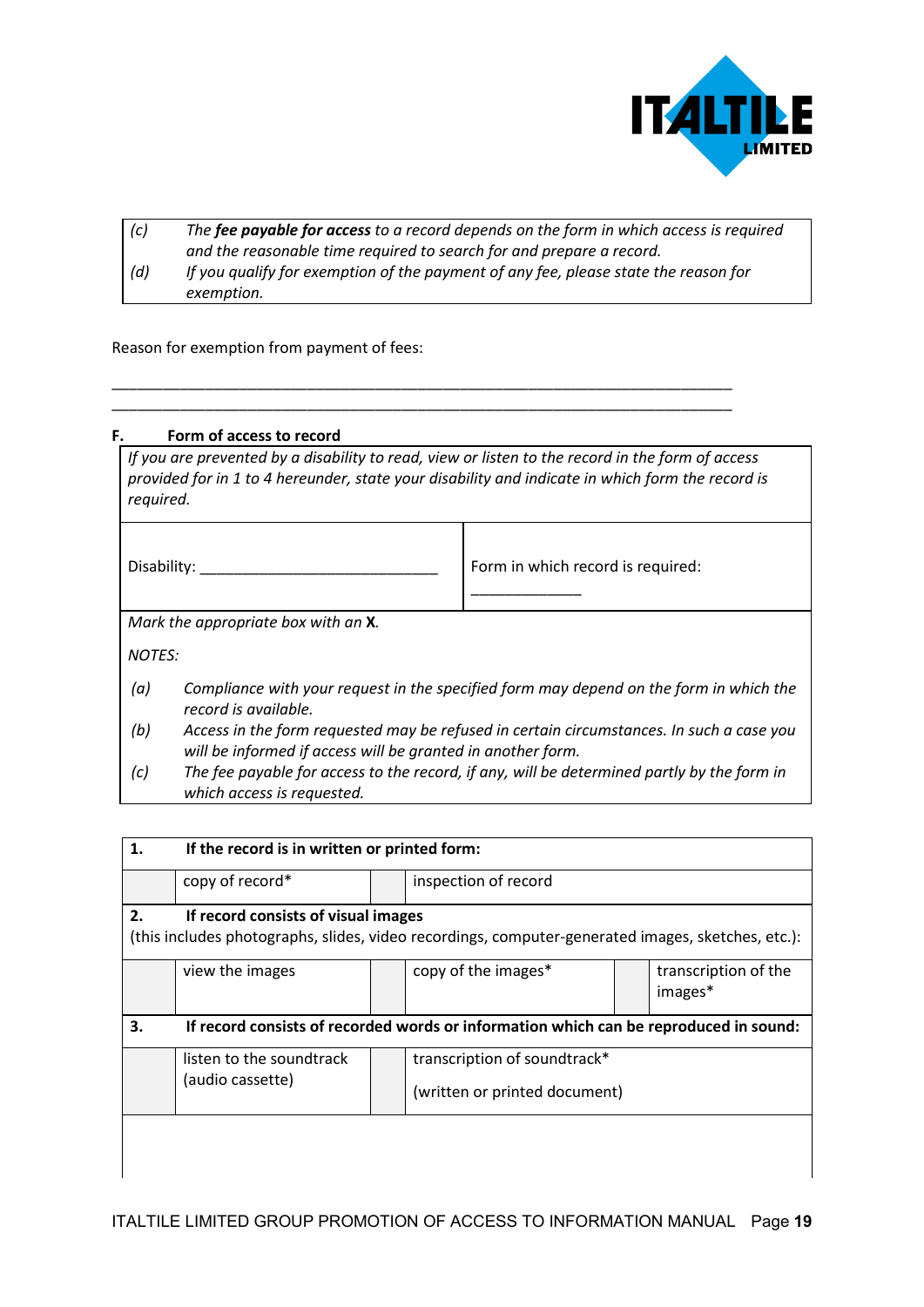

| (c) | The fee payable for access to a record depends on the form in which access is required |
|-----|----------------------------------------------------------------------------------------|
|     | and the reasonable time required to search for and prepare a record.                   |
| (d) | If you qualify for exemption of the payment of any fee, please state the reason for    |
|     | exemption.                                                                             |

\_\_\_\_\_\_\_\_\_\_\_\_\_\_\_\_\_\_\_\_\_\_\_\_\_\_\_\_\_\_\_\_\_\_\_\_\_\_\_\_\_\_\_\_\_\_\_\_\_\_\_\_\_\_\_\_\_\_\_\_\_\_\_\_\_\_\_\_\_\_\_\_\_ \_\_\_\_\_\_\_\_\_\_\_\_\_\_\_\_\_\_\_\_\_\_\_\_\_\_\_\_\_\_\_\_\_\_\_\_\_\_\_\_\_\_\_\_\_\_\_\_\_\_\_\_\_\_\_\_\_\_\_\_\_\_\_\_\_\_\_\_\_\_\_\_\_

Reason for exemption from payment of fees:

#### **F. Form of access to record**

| required.                           |                                                                                                                                                         | If you are prevented by a disability to read, view or listen to the record in the form of access<br>provided for in 1 to 4 hereunder, state your disability and indicate in which form the record is |  |  |
|-------------------------------------|---------------------------------------------------------------------------------------------------------------------------------------------------------|------------------------------------------------------------------------------------------------------------------------------------------------------------------------------------------------------|--|--|
|                                     | Disability:                                                                                                                                             | Form in which record is required:                                                                                                                                                                    |  |  |
| Mark the appropriate box with an X. |                                                                                                                                                         |                                                                                                                                                                                                      |  |  |
| <b>NOTES:</b>                       |                                                                                                                                                         |                                                                                                                                                                                                      |  |  |
| (a)                                 | Compliance with your request in the specified form may depend on the form in which the<br>record is available.                                          |                                                                                                                                                                                                      |  |  |
| (b)                                 | Access in the form requested may be refused in certain circumstances. In such a case you<br>will be informed if access will be granted in another form. |                                                                                                                                                                                                      |  |  |
| (c)                                 | The fee payable for access to the record, if any, will be determined partly by the form in<br>which access is requested.                                |                                                                                                                                                                                                      |  |  |

| 1.                                                                                          | If the record is in written or printed form: |  |                                                                                                   |  |                                 |
|---------------------------------------------------------------------------------------------|----------------------------------------------|--|---------------------------------------------------------------------------------------------------|--|---------------------------------|
|                                                                                             | copy of record*                              |  | inspection of record                                                                              |  |                                 |
| 2.                                                                                          | If record consists of visual images          |  |                                                                                                   |  |                                 |
|                                                                                             |                                              |  | (this includes photographs, slides, video recordings, computer-generated images, sketches, etc.): |  |                                 |
|                                                                                             | view the images                              |  | copy of the images*                                                                               |  | transcription of the<br>images* |
| 3.<br>If record consists of recorded words or information which can be reproduced in sound: |                                              |  |                                                                                                   |  |                                 |
|                                                                                             | listen to the soundtrack                     |  | transcription of soundtrack*                                                                      |  |                                 |
|                                                                                             | (audio cassette)                             |  | (written or printed document)                                                                     |  |                                 |
|                                                                                             |                                              |  |                                                                                                   |  |                                 |
|                                                                                             |                                              |  |                                                                                                   |  |                                 |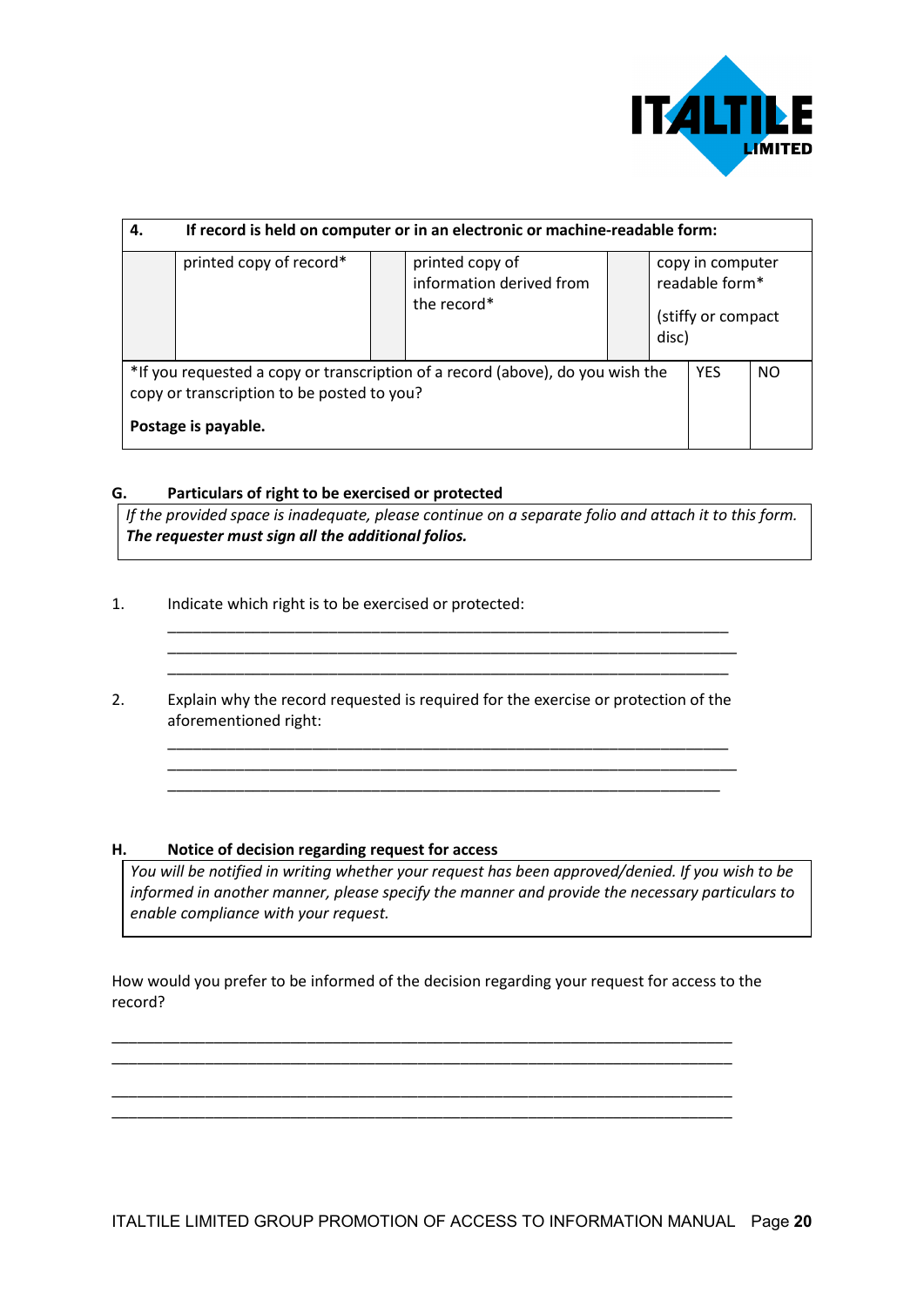

| 4.                                                                                                                                                  | If record is held on computer or in an electronic or machine-readable form: |                                                            |       |                                                           |     |
|-----------------------------------------------------------------------------------------------------------------------------------------------------|-----------------------------------------------------------------------------|------------------------------------------------------------|-------|-----------------------------------------------------------|-----|
|                                                                                                                                                     | printed copy of record*                                                     | printed copy of<br>information derived from<br>the record* | disc) | copy in computer<br>readable form*<br>(stiffy or compact) |     |
| *If you requested a copy or transcription of a record (above), do you wish the<br>copy or transcription to be posted to you?<br>Postage is payable. |                                                                             |                                                            |       | <b>YES</b>                                                | NO. |

#### **G. Particulars of right to be exercised or protected**

*If the provided space is inadequate, please continue on a separate folio and attach it to this form. The requester must sign all the additional folios.*

\_\_\_\_\_\_\_\_\_\_\_\_\_\_\_\_\_\_\_\_\_\_\_\_\_\_\_\_\_\_\_\_\_\_\_\_\_\_\_\_\_\_\_\_\_\_\_\_\_\_\_\_\_\_\_\_\_\_\_\_\_\_\_\_\_\_ \_\_\_\_\_\_\_\_\_\_\_\_\_\_\_\_\_\_\_\_\_\_\_\_\_\_\_\_\_\_\_\_\_\_\_\_\_\_\_\_\_\_\_\_\_\_\_\_\_\_\_\_\_\_\_\_\_\_\_\_\_\_\_\_\_\_\_

\_\_\_\_\_\_\_\_\_\_\_\_\_\_\_\_\_\_\_\_\_\_\_\_\_\_\_\_\_\_\_\_\_\_\_\_\_\_\_\_\_\_\_\_\_\_\_\_\_\_\_\_\_\_\_\_\_\_\_\_\_\_\_\_\_\_ \_\_\_\_\_\_\_\_\_\_\_\_\_\_\_\_\_\_\_\_\_\_\_\_\_\_\_\_\_\_\_\_\_\_\_\_\_\_\_\_\_\_\_\_\_\_\_\_\_\_\_\_\_\_\_\_\_\_\_\_\_\_\_\_\_\_\_ \_\_\_\_\_\_\_\_\_\_\_\_\_\_\_\_\_\_\_\_\_\_\_\_\_\_\_\_\_\_\_\_\_\_\_\_\_\_\_\_\_\_\_\_\_\_\_\_\_\_\_\_\_\_\_\_\_\_\_\_\_\_\_\_\_

- 1. Indicate which right is to be exercised or protected:
- 2. Explain why the record requested is required for the exercise or protection of the aforementioned right:

\_\_\_\_\_\_\_\_\_\_\_\_\_\_\_\_\_\_\_\_\_\_\_\_\_\_\_\_\_\_\_\_\_\_\_\_\_\_\_\_\_\_\_\_\_\_\_\_\_\_\_\_\_\_\_\_\_\_\_\_\_\_\_\_\_\_

#### **H. Notice of decision regarding request for access**

*You will be notified in writing whether your request has been approved/denied. If you wish to be informed in another manner, please specify the manner and provide the necessary particulars to enable compliance with your request.*

How would you prefer to be informed of the decision regarding your request for access to the record?

\_\_\_\_\_\_\_\_\_\_\_\_\_\_\_\_\_\_\_\_\_\_\_\_\_\_\_\_\_\_\_\_\_\_\_\_\_\_\_\_\_\_\_\_\_\_\_\_\_\_\_\_\_\_\_\_\_\_\_\_\_\_\_\_\_\_\_\_\_\_\_\_\_ \_\_\_\_\_\_\_\_\_\_\_\_\_\_\_\_\_\_\_\_\_\_\_\_\_\_\_\_\_\_\_\_\_\_\_\_\_\_\_\_\_\_\_\_\_\_\_\_\_\_\_\_\_\_\_\_\_\_\_\_\_\_\_\_\_\_\_\_\_\_\_\_\_

\_\_\_\_\_\_\_\_\_\_\_\_\_\_\_\_\_\_\_\_\_\_\_\_\_\_\_\_\_\_\_\_\_\_\_\_\_\_\_\_\_\_\_\_\_\_\_\_\_\_\_\_\_\_\_\_\_\_\_\_\_\_\_\_\_\_\_\_\_\_\_\_\_ \_\_\_\_\_\_\_\_\_\_\_\_\_\_\_\_\_\_\_\_\_\_\_\_\_\_\_\_\_\_\_\_\_\_\_\_\_\_\_\_\_\_\_\_\_\_\_\_\_\_\_\_\_\_\_\_\_\_\_\_\_\_\_\_\_\_\_\_\_\_\_\_\_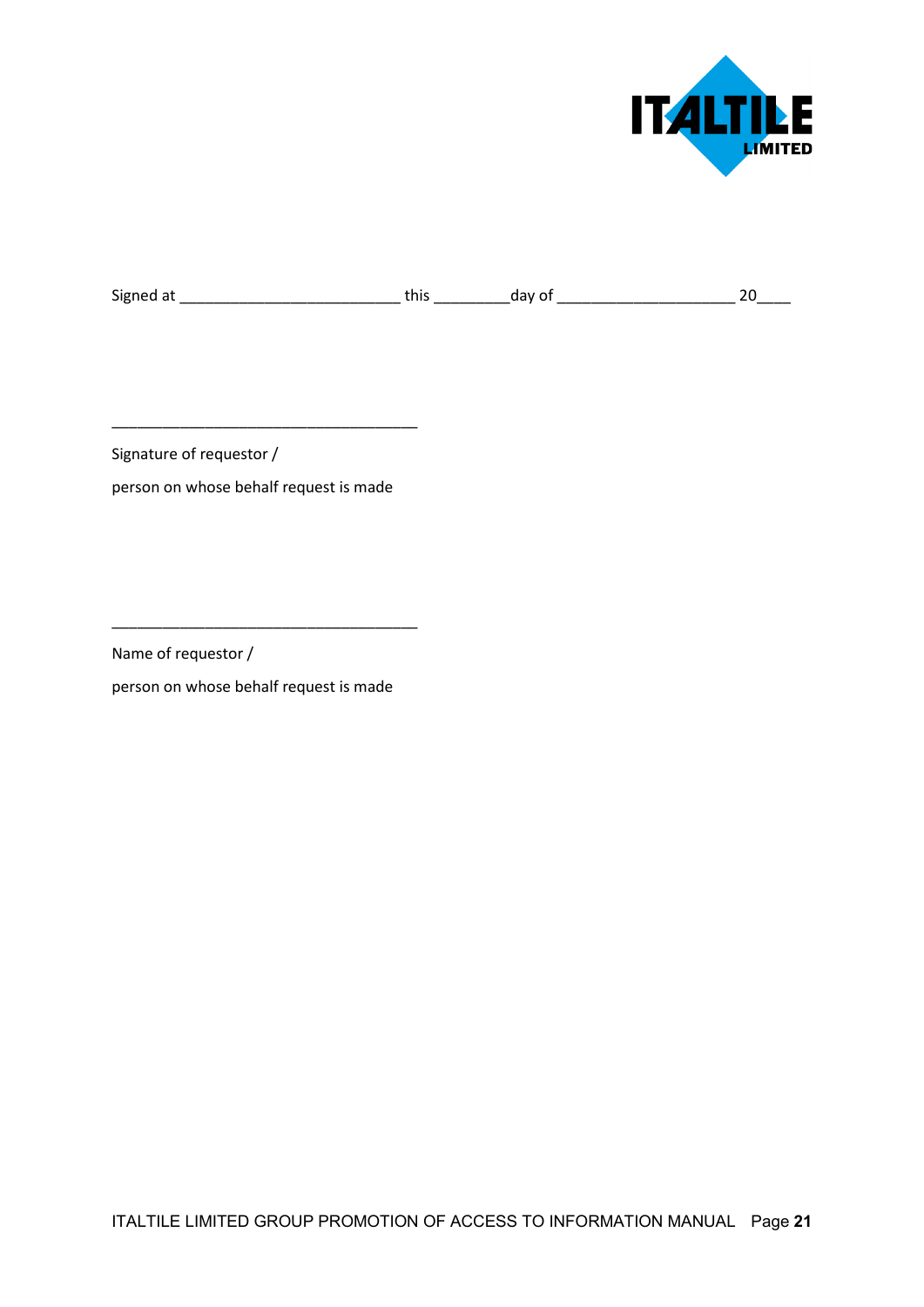

Signed at \_\_\_\_\_\_\_\_\_\_\_\_\_\_\_\_\_\_\_\_\_\_\_\_\_\_ this \_\_\_\_\_\_\_\_\_day of \_\_\_\_\_\_\_\_\_\_\_\_\_\_\_\_\_\_\_\_\_ 20\_\_\_\_

Signature of requestor /

person on whose behalf request is made

\_\_\_\_\_\_\_\_\_\_\_\_\_\_\_\_\_\_\_\_\_\_\_\_\_\_\_\_\_\_\_\_\_\_\_\_

Name of requestor /

person on whose behalf request is made

\_\_\_\_\_\_\_\_\_\_\_\_\_\_\_\_\_\_\_\_\_\_\_\_\_\_\_\_\_\_\_\_\_\_\_\_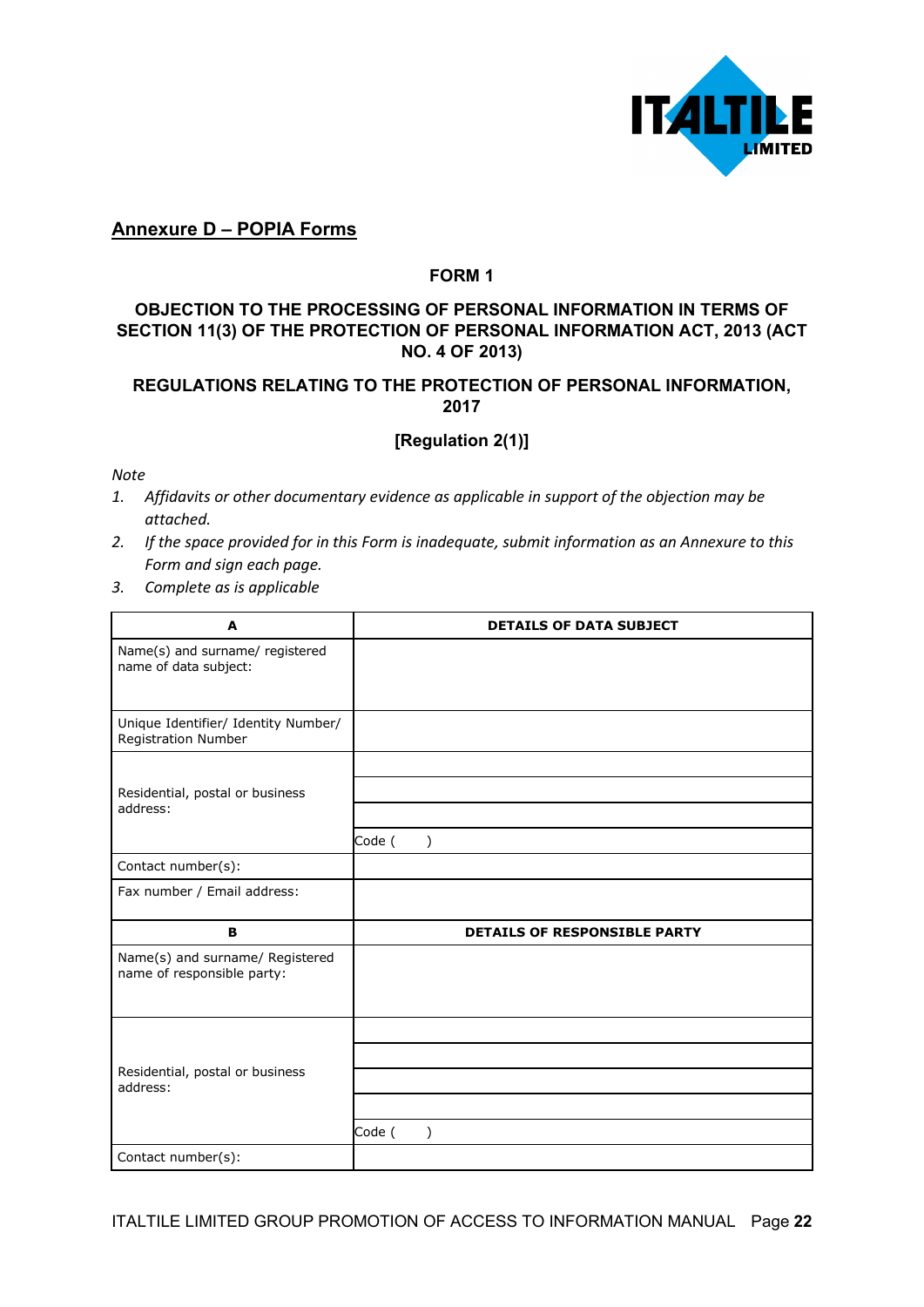

## **Annexure D – POPIA Forms**

#### **FORM 1**

## **OBJECTION TO THE PROCESSING OF PERSONAL INFORMATION IN TERMS OF SECTION 11(3) OF THE PROTECTION OF PERSONAL INFORMATION ACT, 2013 (ACT NO. 4 OF 2013)**

## **REGULATIONS RELATING TO THE PROTECTION OF PERSONAL INFORMATION, 2017**

## **[Regulation 2(1)]**

*Note*

- *1. Affidavits or other documentary evidence as applicable in support of the objection may be attached.*
- *2. If the space provided for in this Form is inadequate, submit information as an Annexure to this Form and sign each page.*
- *3. Complete as is applicable*

| A                                                             | <b>DETAILS OF DATA SUBJECT</b> |
|---------------------------------------------------------------|--------------------------------|
| Name(s) and surname/ registered<br>name of data subject:      |                                |
| Unique Identifier/ Identity Number/<br>Registration Number    |                                |
|                                                               |                                |
| Residential, postal or business                               |                                |
| address:                                                      |                                |
|                                                               | Code (<br>$\mathcal{E}$        |
| Contact number(s):                                            |                                |
| Fax number / Email address:                                   |                                |
| B                                                             | DETAILS OF RESPONSIBLE PARTY   |
| Name(s) and surname/ Registered<br>name of responsible party: |                                |
|                                                               |                                |
|                                                               |                                |
| Residential, postal or business<br>address:                   |                                |
|                                                               |                                |
|                                                               | Code (<br>$\mathcal{E}$        |
| Contact number(s):                                            |                                |

ITALTILE LIMITED GROUP PROMOTION OF ACCESS TO INFORMATION MANUAL Page **22**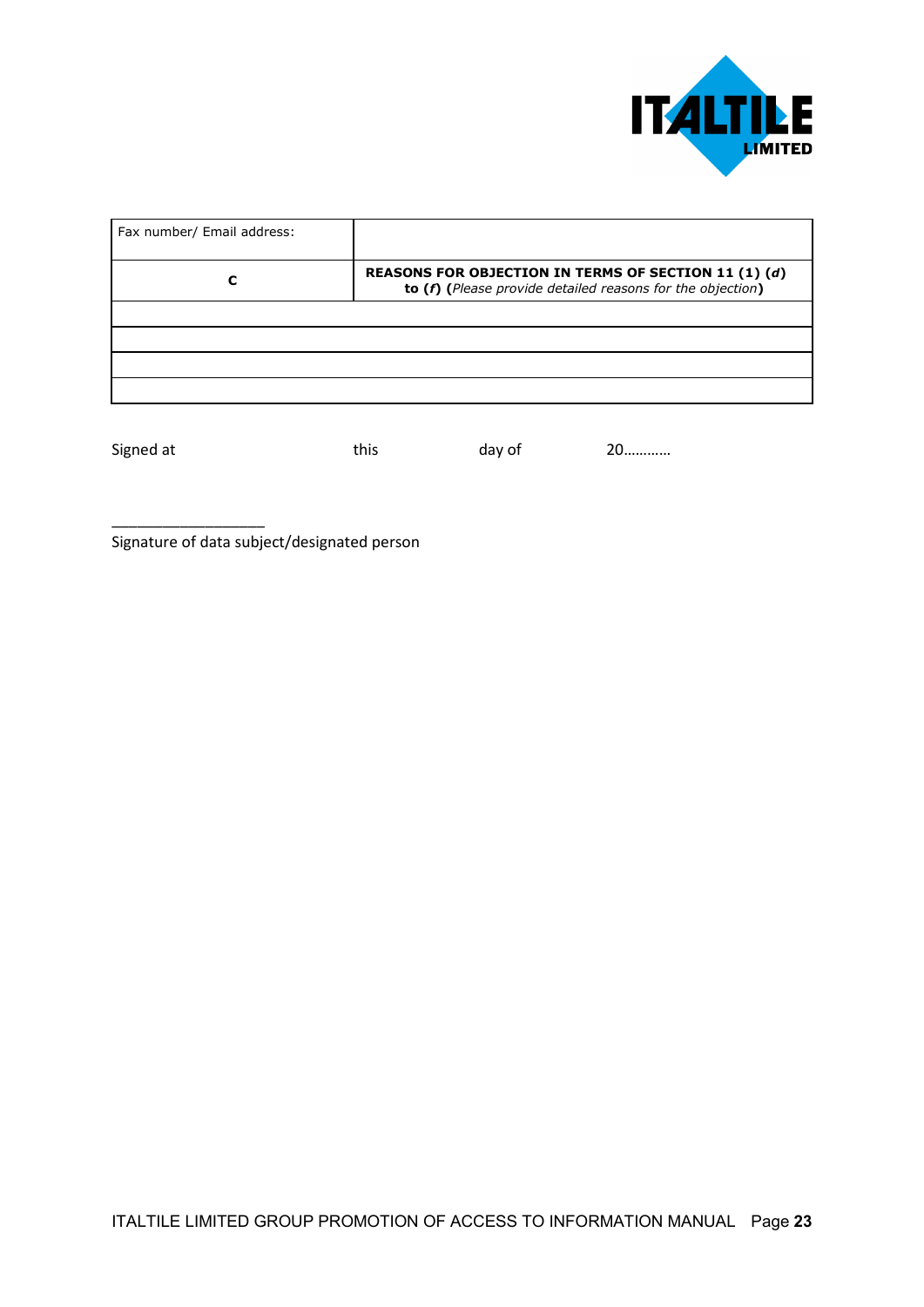

| Fax number/ Email address: |                                                                                                                    |
|----------------------------|--------------------------------------------------------------------------------------------------------------------|
|                            | REASONS FOR OBJECTION IN TERMS OF SECTION 11 (1) (d)<br>to (f) (Please provide detailed reasons for the objection) |
|                            |                                                                                                                    |
|                            |                                                                                                                    |
|                            |                                                                                                                    |
|                            |                                                                                                                    |

\_\_\_\_\_\_\_\_\_\_\_\_\_\_\_\_\_\_

Signed at this day of 20.............

Signature of data subject/designated person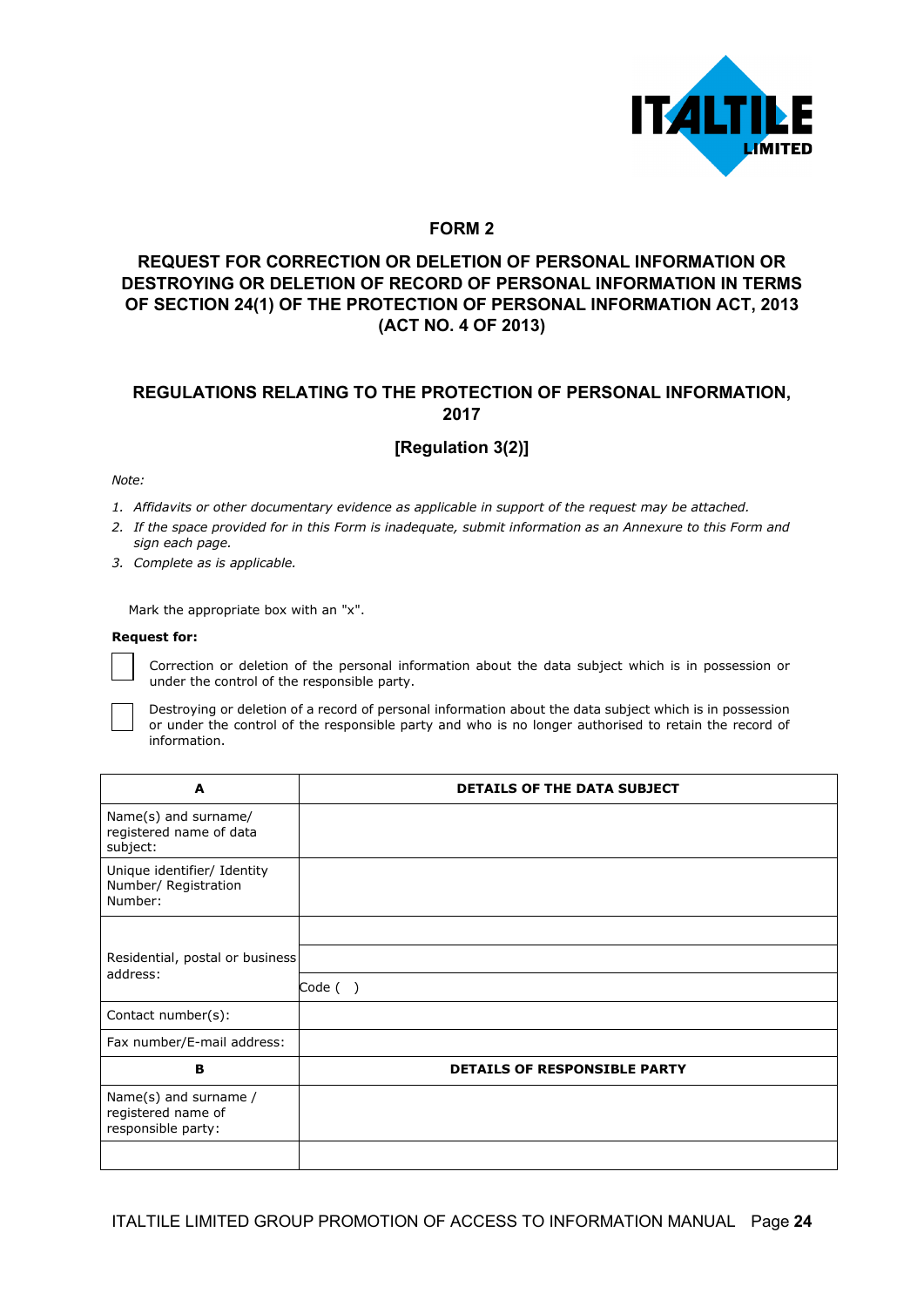

#### **FORM 2**

## **REQUEST FOR CORRECTION OR DELETION OF PERSONAL INFORMATION OR DESTROYING OR DELETION OF RECORD OF PERSONAL INFORMATION IN TERMS OF SECTION 24(1) OF THE PROTECTION OF PERSONAL INFORMATION ACT, 2013 (ACT NO. 4 OF 2013)**

#### **REGULATIONS RELATING TO THE PROTECTION OF PERSONAL INFORMATION, 2017**

## **[Regulation 3(2)]**

*Note:*

- *1. Affidavits or other documentary evidence as applicable in support of the request may be attached.*
- *2. If the space provided for in this Form is inadequate, submit information as an Annexure to this Form and sign each page.*
- *3. Complete as is applicable.*

Mark the appropriate box with an "x".

#### **Request for:**

Correction or deletion of the personal information about the data subject which is in possession or under the control of the responsible party.

Destroying or deletion of a record of personal information about the data subject which is in possession or under the control of the responsible party and who is no longer authorised to retain the record of information.

| A                                                                 | <b>DETAILS OF THE DATA SUBJECT</b>  |
|-------------------------------------------------------------------|-------------------------------------|
| Name(s) and surname/<br>registered name of data<br>subject:       |                                     |
| Unique identifier/ Identity<br>Number/ Registration<br>Number:    |                                     |
|                                                                   |                                     |
| Residential, postal or business                                   |                                     |
| address:                                                          | Code ()                             |
| Contact number(s):                                                |                                     |
| Fax number/E-mail address:                                        |                                     |
| в                                                                 | <b>DETAILS OF RESPONSIBLE PARTY</b> |
| Name(s) and surname /<br>registered name of<br>responsible party: |                                     |
|                                                                   |                                     |

ITALTILE LIMITED GROUP PROMOTION OF ACCESS TO INFORMATION MANUAL Page **24**